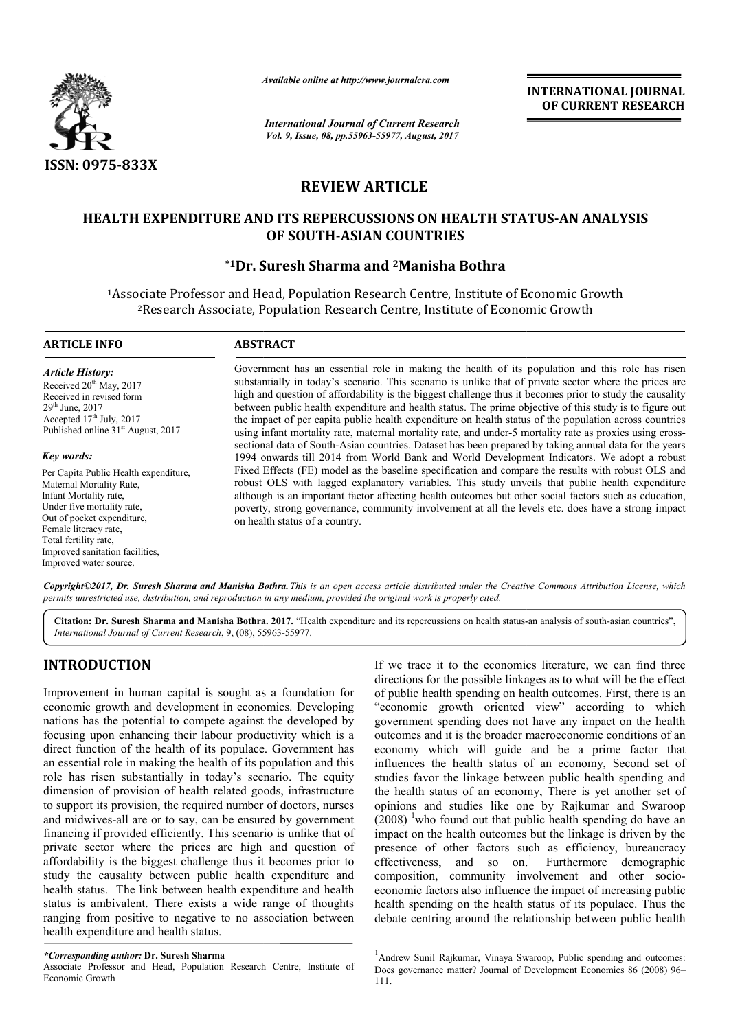

*Available online at http://www.journal http://www.journalcra.com*

*International Journal of Current Research Vol. 9, Issue, 08, pp.55963-55977, August, 2017* **INTERNATIONAL JOURNAL OF CURRENT RESEARCH** 

# **REVIEW ARTICLE**

# **HEALTH EXPENDITURE AND ITS REPERCUSSIONS ON HEALTH STATUS STATUS-AN ANALYSIS OF SOUTH-ASIAN COUNTRIES**

# **\*1Dr. Suresh Sharma and Dr. 2Manisha Bothra**

<sup>1</sup>Associate Professor and Head, Population Research Centre, Institute of Economic Growth 2Research Associate, Population Research Centre, Institute of Economic Growth Research

#### **ARTICLE INFO ABSTRACT**

*Article History:* Received 20<sup>th</sup> May, 2017 Received in revised form  $29<sup>th</sup>$  June,  $2017$ Accepted  $17<sup>th</sup>$  July, 2017 Published online 31<sup>st</sup> August, 2017

*Key words:* Per Capita Public Health expenditure, Maternal Mortality Rate, Infant Mortality rate, Under five mortality rate, Out of pocket expenditure, Female literacy rate, Total fertility rate, Improved sanitation facilities, Improved water source.

Government has an essential role in making the health of its population and this role has risen Government has an essential role in making the health of its population and this role has risen substantially in today's scenario. This scenario is unlike that of private sector where the prices are high and question of affordability is the biggest challenge thus it becomes prior to study the causality between public health expenditure and health status. The prime objective of this study is to figure out the impact of per c capita public health expenditure on health status of the population across countries using infant mortality rate, maternal mortality rate, and under-5 mortality rate as proxies using cross sectional data of South-Asian countries. Dataset has been prepared by taking annual data for the years 1994 onwards till 2014 from World Bank and World Development Indicators. We adopt a robust Fixed Effects (FE) model as the baseline specification and compare the results with robust OLS and robust OLS with lagged explanatory variables. This study unveils that public health expenditure although is an important factor affecting health outcomes but other social factors such as education, poverty, strong governance, community involvement at all the levels etc. does have a stro on health status of a country. high and question of affordability is the biggest challenge thus it becomes prior to study the causality<br>between public health expenditure and health status. The prime objective of this study is to figure out<br>the impact of 1994 onwards till 2014 from World Bank and World Development Indicators. We adopt a robust Fixed Effects (FE) model as the baseline specification and compare the results with robust OLS and robust OLS with lagged explanato

*Copyright©2017, Dr. Suresh Sharma and Manisha Bothra Bothra.This is an open access article distributed under the Creative Commons Att an access the Attribution License, which permits unrestricted use, distribution, and reproduction in any medium, provided the original work is properly cited.*

Citation: Dr. Suresh Sharma and Manisha Bothra. 2017. "Health expenditure and its repercussions on health status-an analysis of south-asian countries", *International Journal of Current Research*, 9, (08), 55963 55963-55977.

# **INTRODUCTION**

Improvement in human capital is sought as a foundation for economic growth and development in economics. Developing nations has the potential to compete against the developed by focusing upon enhancing their labour productivity which is a direct function of the health of its populace. Government has an essential role in making the health of its population and this role has risen substantially in today's scenario. The equity dimension of provision of health related goods, infrastructure to support its provision, the required number of doctors, nurses and midwives-all are or to say, can be ensured by government financing if provided efficiently. This scenario is unlike that of private sector where the prices are high and question of affordability is the biggest challenge thus it becomes prior to study the causality between public health expenditure and health status. The link between health expenditure and health status is ambivalent. There exists a wide range of thoughts ranging from positive to negative to no association between health expenditure and health status.

Associate Professor and Head, Population Research Centre, Institute of Economic Growth

**TION**<br>
If we trace it to the economics literature, we can find three<br>
in human capital is sought as a foundation for<br>
of public health spending on health outcomes. First, there is an<br>
ephotein and development in economics directions for the possible linkages as to what will be the effect If we trace it to the economics literature, we can find three directions for the possible linkages as to what will be the effect of public health spending on health outcomes. First, there is an "economic growth oriented view" according to which government spending does not have any impact on the health outcomes and it is the broader macroeconomic conditions of an economy which will guide and be a prime factor that influences the health status of an economy, Second set of studies favor the linkage between public health spending and the health status of an economy, There is yet another set of opinions and studies like one by Rajkumar and Swaroop  $(2008)$  <sup>1</sup> who found out that public health spending do have an impact on the health outcomes but the linkage is driven by the presence of other factors such as efficiency, bureaucracy presence of other factors such as efficiency, bureaucracy effectiveness, and so on.<sup>1</sup> Furthermore demographic composition, community involvement and other socioeconomic factors also influence the impact of increasing public economic factors also influence the impact of increasing public<br>health spending on the health status of its populace. Thus the debate centring around the relationship between public health "economic growth oriented view" according to which government spending does not have any impact on the health outcomes and it is the broader macroeconomic conditions of an economy, which will guide and be a prime factor th atus of an economy, There is yet another set of<br>I studies like one by Rajkumar and Swaroop<br>found out that public health spending do have an<br>ehealth outcomes but the linkage is driven by the

*<sup>\*</sup>Corresponding author:* **Dr. Suresh Sharma** 

 $\frac{1}{1}$ Andrew Sunil Rajkumar, Vinaya Swaroop, Public spending and outcomes: Does governance matter? Journal of Development Economics 86 (2008) 96 111. ng around the relationship between public health<br> **Rajkumar, Vinaya Swaroop, Public spending and outcomes:**<br>
e matter? Journal of Development Economics 86 (2008) 96–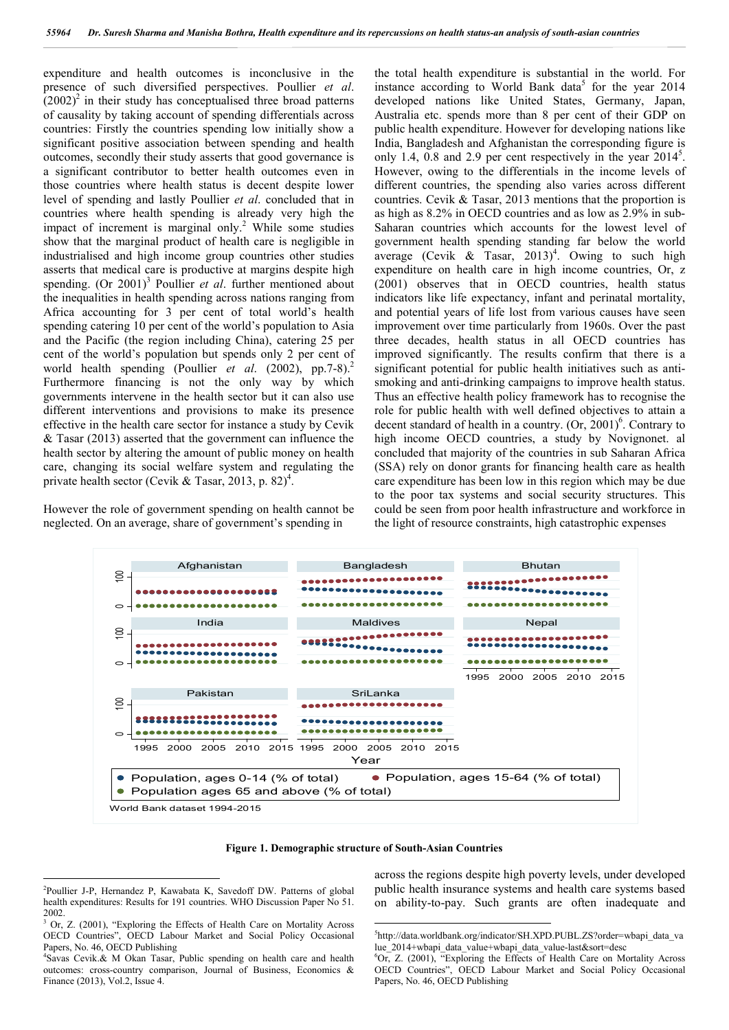expenditure and health outcomes is inconclusive in the presence of such diversified perspectives. Poullier *et al*.  $(2002)^2$  in their study has conceptualised three broad patterns of causality by taking account of spending differentials across countries: Firstly the countries spending low initially show a significant positive association between spending and health outcomes, secondly their study asserts that good governance is a significant contributor to better health outcomes even in those countries where health status is decent despite lower level of spending and lastly Poullier *et al*. concluded that in countries where health spending is already very high the impact of increment is marginal only.<sup>2</sup> While some studies show that the marginal product of health care is negligible in industrialised and high income group countries other studies asserts that medical care is productive at margins despite high spending. (Or 2001)<sup>3</sup> Poullier *et al.* further mentioned about the inequalities in health spending across nations ranging from Africa accounting for 3 per cent of total world's health spending catering 10 per cent of the world's population to Asia and the Pacific (the region including China), catering 25 per cent of the world's population but spends only 2 per cent of world health spending (Poullier *et al.* (2002), pp.7-8).<sup>2</sup> Furthermore financing is not the only way by which governments intervene in the health sector but it can also use different interventions and provisions to make its presence effective in the health care sector for instance a study by Cevik & Tasar (2013) asserted that the government can influence the health sector by altering the amount of public money on health care, changing its social welfare system and regulating the private health sector (Cevik & Tasar, 2013, p. 82)<sup>4</sup>.

However the role of government spending on health cannot be neglected. On an average, share of government's spending in

the total health expenditure is substantial in the world. For instance according to World Bank data<sup>5</sup> for the year  $2014$ developed nations like United States, Germany, Japan, Australia etc. spends more than 8 per cent of their GDP on public health expenditure. However for developing nations like India, Bangladesh and Afghanistan the corresponding figure is only 1.4, 0.8 and 2.9 per cent respectively in the year  $2014^5$ . However, owing to the differentials in the income levels of different countries, the spending also varies across different countries. Cevik & Tasar, 2013 mentions that the proportion is as high as 8.2% in OECD countries and as low as 2.9% in sub-Saharan countries which accounts for the lowest level of government health spending standing far below the world average (Cevik & Tasar,  $2013)^4$ . Owing to such high expenditure on health care in high income countries, Or, z (2001) observes that in OECD countries, health status indicators like life expectancy, infant and perinatal mortality, and potential years of life lost from various causes have seen improvement over time particularly from 1960s. Over the past three decades, health status in all OECD countries has improved significantly. The results confirm that there is a significant potential for public health initiatives such as antismoking and anti-drinking campaigns to improve health status. Thus an effective health policy framework has to recognise the role for public health with well defined objectives to attain a decent standard of health in a country.  $(Or, 2001)^6$ . Contrary to high income OECD countries, a study by Novignonet. al concluded that majority of the countries in sub Saharan Africa (SSA) rely on donor grants for financing health care as health care expenditure has been low in this region which may be due to the poor tax systems and social security structures. This could be seen from poor health infrastructure and workforce in the light of resource constraints, high catastrophic expenses



**Figure 1. Demographic structure of South-Asian Countries**

across the regions despite high poverty levels, under developed public health insurance systems and health care systems based on ability-to-pay. Such grants are often inadequate and

 $\frac{1}{2}$ Poullier J-P, Hernandez P, Kawabata K, Savedoff DW. Patterns of global health expenditures: Results for 191 countries. WHO Discussion Paper No 51. 2002.

<sup>&</sup>lt;sup>3</sup> Or, Z. (2001), "Exploring the Effects of Health Care on Mortality Across OECD Countries", OECD Labour Market and Social Policy Occasional Papers, No. 46, OECD Publishing

<sup>4</sup> Savas Cevik.& M Okan Tasar, Public spending on health care and health outcomes: cross-country comparison, Journal of Business, Economics & Finance (2013), Vol.2, Issue 4.

 $\frac{1}{5}$ http://data.worldbank.org/indicator/SH.XPD.PUBL.ZS?order=wbapi\_data\_va lue\_2014+wbapi\_data\_value+wbapi\_data\_value-last&sort=desc

<sup>6</sup> Or, Z. (2001), "Exploring the Effects of Health Care on Mortality Across OECD Countries", OECD Labour Market and Social Policy Occasional Papers, No. 46, OECD Publishing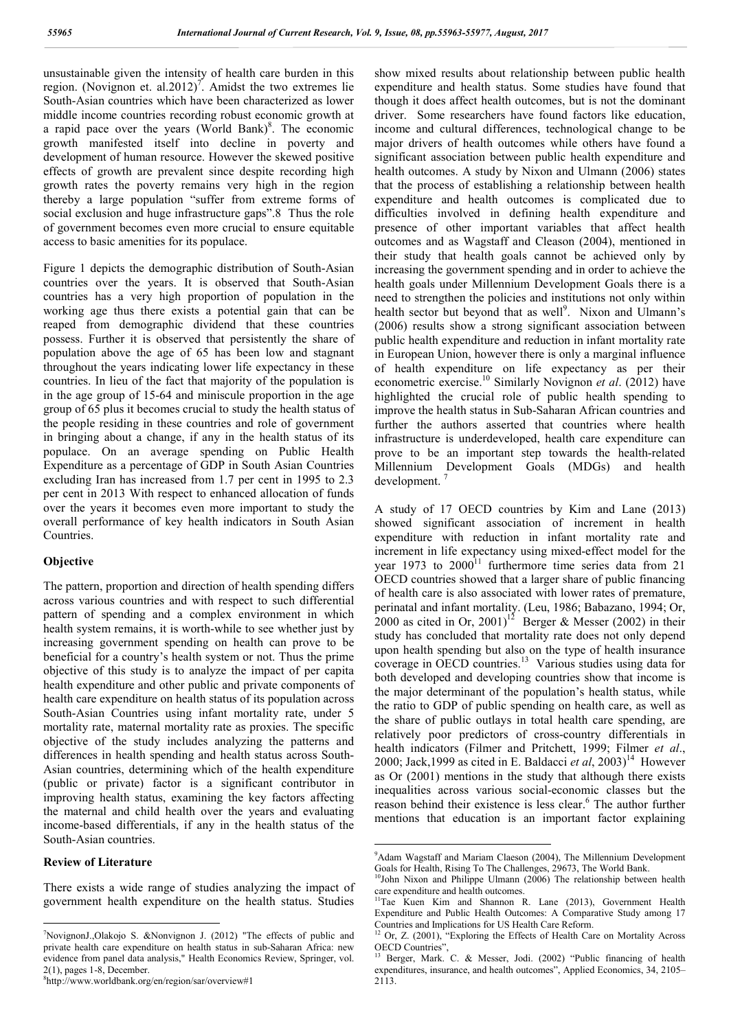unsustainable given the intensity of health care burden in this region. (Novignon et. al.2012)<sup>7</sup>. Amidst the two extremes lie South-Asian countries which have been characterized as lower middle income countries recording robust economic growth at a rapid pace over the years  $(World Bank)^8$ . The economic growth manifested itself into decline in poverty and development of human resource. However the skewed positive effects of growth are prevalent since despite recording high growth rates the poverty remains very high in the region thereby a large population "suffer from extreme forms of social exclusion and huge infrastructure gaps".8 Thus the role of government becomes even more crucial to ensure equitable access to basic amenities for its populace.

Figure 1 depicts the demographic distribution of South-Asian countries over the years. It is observed that South-Asian countries has a very high proportion of population in the working age thus there exists a potential gain that can be reaped from demographic dividend that these countries possess. Further it is observed that persistently the share of population above the age of 65 has been low and stagnant throughout the years indicating lower life expectancy in these countries. In lieu of the fact that majority of the population is in the age group of 15-64 and miniscule proportion in the age group of 65 plus it becomes crucial to study the health status of the people residing in these countries and role of government in bringing about a change, if any in the health status of its populace. On an average spending on Public Health Expenditure as a percentage of GDP in South Asian Countries excluding Iran has increased from 1.7 per cent in 1995 to 2.3 per cent in 2013 With respect to enhanced allocation of funds over the years it becomes even more important to study the overall performance of key health indicators in South Asian Countries.

# **Objective**

The pattern, proportion and direction of health spending differs across various countries and with respect to such differential pattern of spending and a complex environment in which health system remains, it is worth-while to see whether just by increasing government spending on health can prove to be beneficial for a country's health system or not. Thus the prime objective of this study is to analyze the impact of per capita health expenditure and other public and private components of health care expenditure on health status of its population across South-Asian Countries using infant mortality rate, under 5 mortality rate, maternal mortality rate as proxies. The specific objective of the study includes analyzing the patterns and differences in health spending and health status across South-Asian countries, determining which of the health expenditure (public or private) factor is a significant contributor in improving health status, examining the key factors affecting the maternal and child health over the years and evaluating income-based differentials, if any in the health status of the South-Asian countries.

# **Review of Literature**

There exists a wide range of studies analyzing the impact of government health expenditure on the health status. Studies show mixed results about relationship between public health expenditure and health status. Some studies have found that though it does affect health outcomes, but is not the dominant driver. Some researchers have found factors like education, income and cultural differences, technological change to be major drivers of health outcomes while others have found a significant association between public health expenditure and health outcomes. A study by Nixon and Ulmann (2006) states that the process of establishing a relationship between health expenditure and health outcomes is complicated due to difficulties involved in defining health expenditure and presence of other important variables that affect health outcomes and as Wagstaff and Cleason (2004), mentioned in their study that health goals cannot be achieved only by increasing the government spending and in order to achieve the health goals under Millennium Development Goals there is a need to strengthen the policies and institutions not only within health sector but beyond that as well<sup>9</sup>. Nixon and Ulmann's (2006) results show a strong significant association between public health expenditure and reduction in infant mortality rate in European Union, however there is only a marginal influence of health expenditure on life expectancy as per their econometric exercise.<sup>10</sup> Similarly Novignon *et al*. (2012) have highlighted the crucial role of public health spending to improve the health status in Sub-Saharan African countries and further the authors asserted that countries where health infrastructure is underdeveloped, health care expenditure can prove to be an important step towards the health-related Millennium Development Goals (MDGs) and health development. <sup>7</sup>

A study of 17 OECD countries by Kim and Lane (2013) showed significant association of increment in health expenditure with reduction in infant mortality rate and increment in life expectancy using mixed-effect model for the year  $1973$  to  $2000<sup>11</sup>$  furthermore time series data from 21 OECD countries showed that a larger share of public financing of health care is also associated with lower rates of premature, perinatal and infant mortality. (Leu, 1986; Babazano, 1994; Or, 2000 as cited in Or, 2001)<sup>12</sup> Berger & Messer (2002) in their study has concluded that mortality rate does not only depend upon health spending but also on the type of health insurance coverage in OECD countries.<sup>13</sup> Various studies using data for both developed and developing countries show that income is the major determinant of the population's health status, while the ratio to GDP of public spending on health care, as well as the share of public outlays in total health care spending, are relatively poor predictors of cross-country differentials in health indicators (Filmer and Pritchett, 1999; Filmer *et al*., 2000; Jack, 1999 as cited in E. Baldacci *et al.*  $2003$ <sup>14</sup> However as Or (2001) mentions in the study that although there exists inequalities across various social-economic classes but the reason behind their existence is less clear.<sup>6</sup> The author further mentions that education is an important factor explaining

<sup>-&</sup>lt;br>7 NovignonJ.,Olakojo S. &Nonvignon J. (2012) "The effects of public and private health care expenditure on health status in sub-Saharan Africa: new evidence from panel data analysis," Health Economics Review, Springer, vol.  $2(1)$ , pages 1-8, December.

http://www.worldbank.org/en/region/sar/overview#1

<sup>-&</sup>lt;br>9 <sup>9</sup>Adam Wagstaff and Mariam Claeson (2004), The Millennium Development Goals for Health, Rising To The Challenges, 29673, The World Bank.

 $10$ John Nixon and Philippe Ulmann (2006) The relationship between health care expenditure and health outcomes.

<sup>&</sup>lt;sup>11</sup>Tae Kuen Kim and Shannon R. Lane (2013), Government Health Expenditure and Public Health Outcomes: A Comparative Study among 17 Countries and Implications for US Health Care Reform.

 $12$  Or, Z. (2001), "Exploring the Effects of Health Care on Mortality Across OECD Countries".

<sup>13</sup> Berger, Mark. C. & Messer, Jodi. (2002) "Public financing of health expenditures, insurance, and health outcomes", Applied Economics, 34, 2105– 2113.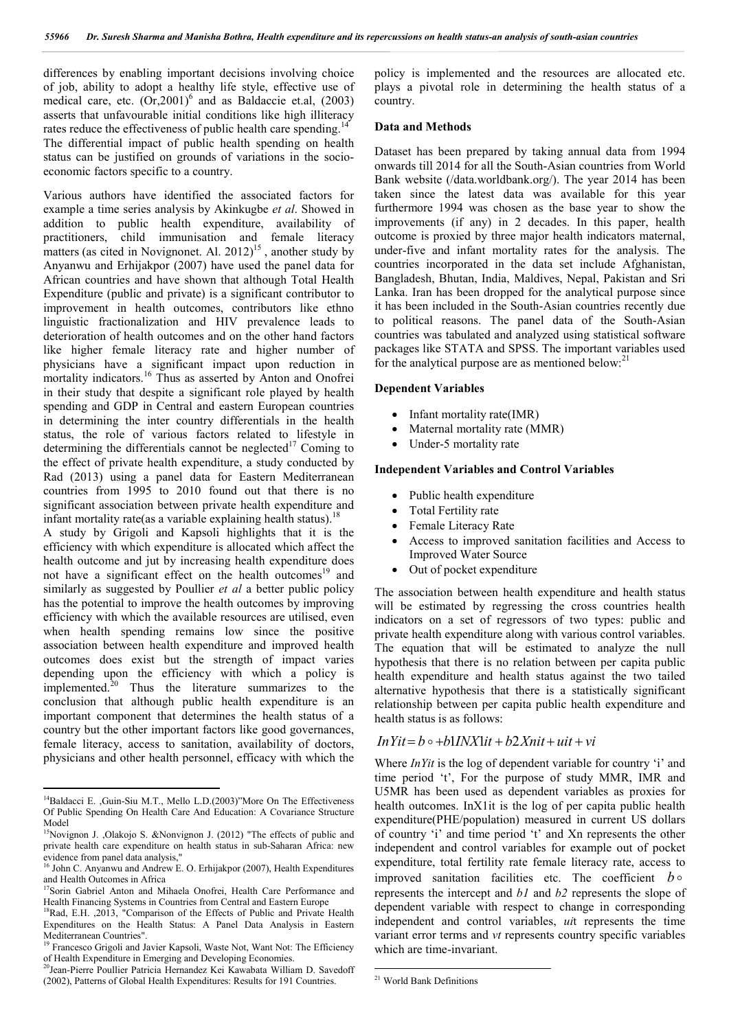differences by enabling important decisions involving choice of job, ability to adopt a healthy life style, effective use of medical care, etc.  $(Or, 2001)^6$  and as Baldaccie et.al,  $(2003)$ asserts that unfavourable initial conditions like high illiteracy rates reduce the effectiveness of public health care spending.<sup>14</sup> The differential impact of public health spending on health status can be justified on grounds of variations in the socioeconomic factors specific to a country.

Various authors have identified the associated factors for example a time series analysis by Akinkugbe *et al*. Showed in addition to public health expenditure, availability of practitioners, child immunisation and female literacy matters (as cited in Novignonet. Al.  $2012$ )<sup>15</sup>, another study by Anyanwu and Erhijakpor (2007) have used the panel data for African countries and have shown that although Total Health Expenditure (public and private) is a significant contributor to improvement in health outcomes, contributors like ethno linguistic fractionalization and HIV prevalence leads to deterioration of health outcomes and on the other hand factors like higher female literacy rate and higher number of physicians have a significant impact upon reduction in mortality indicators.<sup>16</sup> Thus as asserted by Anton and Onofrei in their study that despite a significant role played by health spending and GDP in Central and eastern European countries in determining the inter country differentials in the health status, the role of various factors related to lifestyle in determining the differentials cannot be neglected<sup>17</sup> Coming to the effect of private health expenditure, a study conducted by Rad (2013) using a panel data for Eastern Mediterranean countries from 1995 to 2010 found out that there is no significant association between private health expenditure and infant mortality rate(as a variable explaining health status).<sup>1</sup>

A study by Grigoli and Kapsoli highlights that it is the efficiency with which expenditure is allocated which affect the health outcome and jut by increasing health expenditure does not have a significant effect on the health outcomes<sup>19</sup> and similarly as suggested by Poullier *et al* a better public policy has the potential to improve the health outcomes by improving efficiency with which the available resources are utilised, even when health spending remains low since the positive association between health expenditure and improved health outcomes does exist but the strength of impact varies depending upon the efficiency with which a policy is implemented.<sup>20</sup> Thus the literature summarizes to the conclusion that although public health expenditure is an important component that determines the health status of a country but the other important factors like good governances, female literacy, access to sanitation, availability of doctors, physicians and other health personnel, efficacy with which the policy is implemented and the resources are allocated etc. plays a pivotal role in determining the health status of a country.

#### **Data and Methods**

Dataset has been prepared by taking annual data from 1994 onwards till 2014 for all the South-Asian countries from World Bank website (/data.worldbank.org/). The year 2014 has been taken since the latest data was available for this year furthermore 1994 was chosen as the base year to show the improvements (if any) in 2 decades. In this paper, health outcome is proxied by three major health indicators maternal, under-five and infant mortality rates for the analysis. The countries incorporated in the data set include Afghanistan, Bangladesh, Bhutan, India, Maldives, Nepal, Pakistan and Sri Lanka. Iran has been dropped for the analytical purpose since it has been included in the South-Asian countries recently due to political reasons. The panel data of the South-Asian countries was tabulated and analyzed using statistical software packages like STATA and SPSS. The important variables used for the analytical purpose are as mentioned below: $^{21}$ 

#### **Dependent Variables**

- Infant mortality rate(IMR)
- Maternal mortality rate (MMR)
- Under-5 mortality rate

### **Independent Variables and Control Variables**

- Public health expenditure
- Total Fertility rate
- Female Literacy Rate
- Access to improved sanitation facilities and Access to Improved Water Source
- Out of pocket expenditure

The association between health expenditure and health status will be estimated by regressing the cross countries health indicators on a set of regressors of two types: public and private health expenditure along with various control variables. The equation that will be estimated to analyze the null hypothesis that there is no relation between per capita public health expenditure and health status against the two tailed alternative hypothesis that there is a statistically significant relationship between per capita public health expenditure and health status is as follows:

#### $InY$ *it* =  $b \circ +b$ 1*INX*1*it* +  $b$ 2*Xnit* +  $uit + vi$

Where *InYit* is the log of dependent variable for country 'i' and time period 't', For the purpose of study MMR, IMR and U5MR has been used as dependent variables as proxies for health outcomes. InX1it is the log of per capita public health expenditure(PHE/population) measured in current US dollars of country 'i' and time period 't' and Xn represents the other independent and control variables for example out of pocket expenditure, total fertility rate female literacy rate, access to improved sanitation facilities etc. The coefficient  $b \circ$ represents the intercept and *b1* and *b2* represents the slope of dependent variable with respect to change in corresponding independent and control variables, *ui*t represents the time variant error terms and *vt* represents country specific variables which are time-invariant.

<sup>&</sup>lt;sup>14</sup>Baldacci E. Guin-Siu M.T., Mello L.D.(2003)"More On The Effectiveness Of Public Spending On Health Care And Education: A Covariance Structure Model

<sup>&</sup>lt;sup>15</sup>Novignon J. ,Olakojo S. &Nonvignon J. (2012) "The effects of public and private health care expenditure on health status in sub-Saharan Africa: new evidence from panel data analysis,"

<sup>&</sup>lt;sup>16</sup> John C. Anyanwu and Andrew E. O. Erhijakpor (2007), Health Expenditures and Health Outcomes in Africa

<sup>&</sup>lt;sup>17</sup>Sorin Gabriel Anton and Mihaela Onofrei, Health Care Performance and Health Financing Systems in Countries from Central and Eastern Europe

<sup>&</sup>lt;sup>18</sup>Rad, E.H. ,2013, "Comparison of the Effects of Public and Private Health Expenditures on the Health Status: A Panel Data Analysis in Eastern Mediterranean Countries". <sup>19</sup> Francesco Grigoli and Javier Kapsoli, Waste Not, Want Not: The Efficiency

of Health Expenditure in Emerging and Developing Economies.

<sup>&</sup>lt;sup>0</sup>Jean-Pierre Poullier Patricia Hernandez Kei Kawabata William D. Savedoff (2002), Patterns of Global Health Expenditures: Results for 191 Countries.

 <sup>21</sup> World Bank Definitions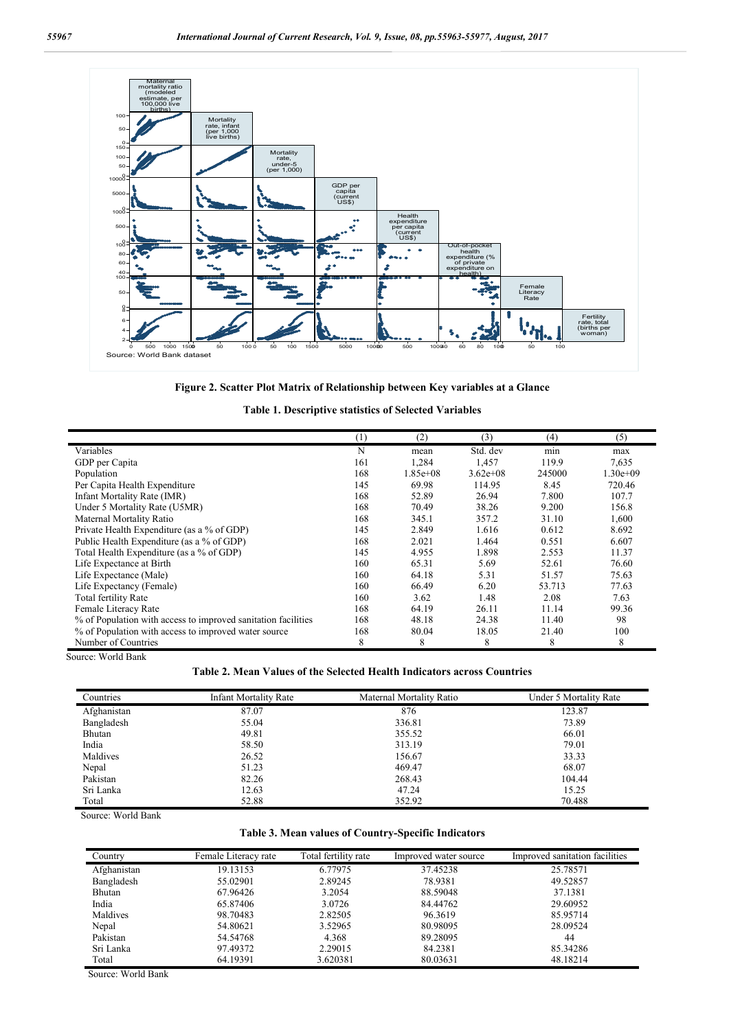

**Figure 2. Scatter Plot Matrix of Relationship between Key variables at a Glance**

|                                                               | (1) | (2)         | (3)          | (4)    | (5)        |
|---------------------------------------------------------------|-----|-------------|--------------|--------|------------|
| Variables                                                     | N   | mean        | Std. dev     | min    | max        |
| GDP per Capita                                                | 161 | 1,284       | 1,457        | 119.9  | 7,635      |
| Population                                                    | 168 | $1.85e+0.8$ | $3.62e + 08$ | 245000 | $1.30e+09$ |
| Per Capita Health Expenditure                                 | 145 | 69.98       | 114.95       | 8.45   | 720.46     |
| Infant Mortality Rate (IMR)                                   | 168 | 52.89       | 26.94        | 7.800  | 107.7      |
| Under 5 Mortality Rate (U5MR)                                 | 168 | 70.49       | 38.26        | 9.200  | 156.8      |
| Maternal Mortality Ratio                                      | 168 | 345.1       | 357.2        | 31.10  | 1,600      |
| Private Health Expenditure (as a % of GDP)                    | 145 | 2.849       | 1.616        | 0.612  | 8.692      |
| Public Health Expenditure (as a % of GDP)                     | 168 | 2.021       | 1.464        | 0.551  | 6.607      |
| Total Health Expenditure (as a % of GDP)                      | 145 | 4.955       | 1.898        | 2.553  | 11.37      |
| Life Expectance at Birth                                      | 160 | 65.31       | 5.69         | 52.61  | 76.60      |
| Life Expectance (Male)                                        | 160 | 64.18       | 5.31         | 51.57  | 75.63      |
| Life Expectancy (Female)                                      | 160 | 66.49       | 6.20         | 53.713 | 77.63      |
| <b>Total fertility Rate</b>                                   | 160 | 3.62        | 1.48         | 2.08   | 7.63       |
| Female Literacy Rate                                          | 168 | 64.19       | 26.11        | 11.14  | 99.36      |
| % of Population with access to improved sanitation facilities | 168 | 48.18       | 24.38        | 11.40  | 98         |
| % of Population with access to improved water source          | 168 | 80.04       | 18.05        | 21.40  | 100        |
| Number of Countries                                           | 8   | 8           | 8            | 8      | 8          |

Source: World Bank

## **Table 2. Mean Values of the Selected Health Indicators across Countries**

| Countries   | <b>Infant Mortality Rate</b> | Maternal Mortality Ratio | Under 5 Mortality Rate |
|-------------|------------------------------|--------------------------|------------------------|
| Afghanistan | 87.07                        | 876                      | 123.87                 |
| Bangladesh  | 55.04                        | 336.81                   | 73.89                  |
| Bhutan      | 49.81                        | 355.52                   | 66.01                  |
| India       | 58.50                        | 313.19                   | 79.01                  |
| Maldives    | 26.52                        | 156.67                   | 33.33                  |
| Nepal       | 51.23                        | 469.47                   | 68.07                  |
| Pakistan    | 82.26                        | 268.43                   | 104.44                 |
| Sri Lanka   | 12.63                        | 47.24                    | 15.25                  |
| Total       | 52.88                        | 352.92                   | 70.488                 |

Source: World Bank

## **Table 3. Mean values of Country-Specific Indicators**

| Country     | Female Literacy rate | Total fertility rate | Improved water source | Improved sanitation facilities |
|-------------|----------------------|----------------------|-----------------------|--------------------------------|
| Afghanistan | 19.13153             | 6.77975              | 37.45238              | 25.78571                       |
| Bangladesh  | 55.02901             | 2.89245              | 78.9381               | 49.52857                       |
| Bhutan      | 67.96426             | 3.2054               | 88.59048              | 37.1381                        |
| India       | 65.87406             | 3.0726               | 84.44762              | 29.60952                       |
| Maldives    | 98.70483             | 2.82505              | 96.3619               | 85.95714                       |
| Nepal       | 54.80621             | 3.52965              | 80.98095              | 28.09524                       |
| Pakistan    | 54.54768             | 4.368                | 89.28095              | 44                             |
| Sri Lanka   | 97.49372             | 2.29015              | 84.2381               | 85.34286                       |
| Total       | 64.19391             | 3.620381             | 80.03631              | 48.18214                       |

Source: World Bank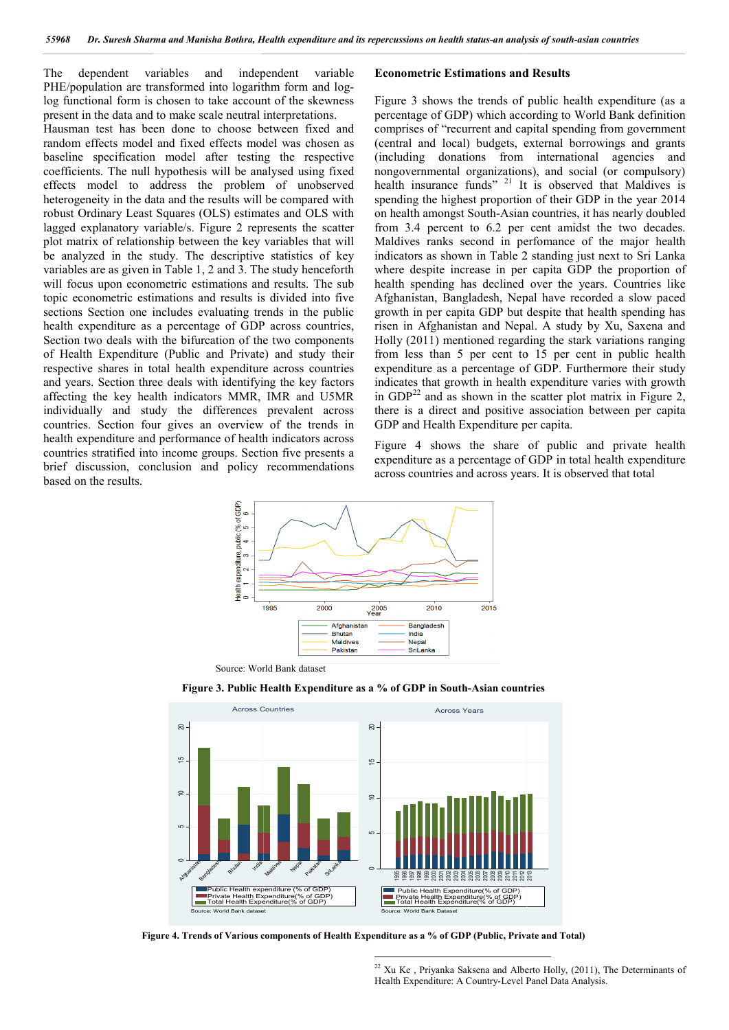The dependent variables and independent variable PHE/population are transformed into logarithm form and loglog functional form is chosen to take account of the skewness present in the data and to make scale neutral interpretations.

Hausman test has been done to choose between fixed and random effects model and fixed effects model was chosen as baseline specification model after testing the respective coefficients. The null hypothesis will be analysed using fixed Hausman test has been done to choose between fixed and<br>random effects model and fixed effects model was chosen as<br>baseline specification model after testing the respective<br>coefficients. The null hypothesis will be analysed heterogeneity in the data and the results will be compared with robust Ordinary Least Squares (OLS) estimates and OLS with lagged explanatory variable/s. Figure 2 represents the scatter plot matrix of relationship between the key variables that will be analyzed in the study. The descriptive statistics of key variables are as given in Table 1, 2 and 3. The study henceforth will focus upon econometric estimations and results. The sub topic econometric estimations and results is divided into five sections Section one includes evaluating trends in the public health expenditure as a percentage of GDP across countries, Section two deals with the bifurcation of the two components of Health Expenditure (Public and Private) and study their respective shares in total health expenditure across countries and years. Section three deals with identifying the key factors affecting the key health indicators MMR, IMR and U5MR individually and study the differences prevalent across countries. Section four gives an overview of the trends in health expenditure and performance of health indicators across countries stratified into income groups. Section five presents a brief discussion, conclusion and policy recommendations based on the results. dependent variables and independent variables (and independent variables and the seature operation are transformed into the account of the skewness Figure 3 shows the trends of public hard in the data and to make scale neu

Figure 3 shows the trends of public health expenditure (as a percentage of GDP) which according to World Bank definition comprises of "recurrent and capital spending from government (central and local) budgets, external borrowings and grants (including donations from international agencies and nongovernmental organizations), and social (or compulsory) Figure 3 shows the trends of public health expenditure (as a percentage of GDP) which according to World Bank definition comprises of "recurrent and capital spending from government (central and local) budgets, external b spending the highest proportion of their GDP in the year 2014 on health amongst South-Asian countries, it has nearly doubled from 3.4 percent to 6.2 per cent amidst the two decades. Maldives ranks second in perfomance of the major health indicators as shown in Table 2 standing just next to Sri Lanka where despite increase in per capita GDP the proportion of health spending has declined over the years. Countries like Afghanistan, Bangladesh, Nepal have recorded a slow paced growth in per capita GDP but despite that health spending has risen in Afghanistan and Nepal. A study by Xu, Saxena and Holly (2011) mentioned regarding the stark variations ranging from less than 5 per cent to 15 per cent in public health expenditure as a percentage of GDP. Furthermo indicates that growth in health expenditure varies with growth indicates that growth in health expenditure varies with growth in  $GDP<sup>22</sup>$  and as shown in the scatter plot matrix in Figure 2, there is a direct and positive association between per capita GDP and Health Expenditure per capita. alth amongst South-Asian countries, it has nearly doubled 3.4 percent to 6.2 per cent amidst the two decades.<br>
ves ranks second in perfomance of the major health<br>
ttors as shown in Table 2 standing just next to Sri Lanka<br> mentioned regarding the stark variations ranging<br>in 5 per cent to 15 per cent in public health<br>s a percentage of GDP. Furthermore their study

Figure 4 shows the share of public and private health expenditure as a percentage of GDP in total health expenditure across countries and across years. It is observed that total



**Figure 3. Public Health Expenditure as a % of GDP in South-Asian countries**



**Figure 4. Trends of Various components of Health Expenditure as a % of GDP (Public, Private and Total)**

 $22$  Xu Ke, Priyanka Saksena and Alberto Holly, (2011), The Determinants of Health Expenditure: A Country-Level Panel Data Analysis.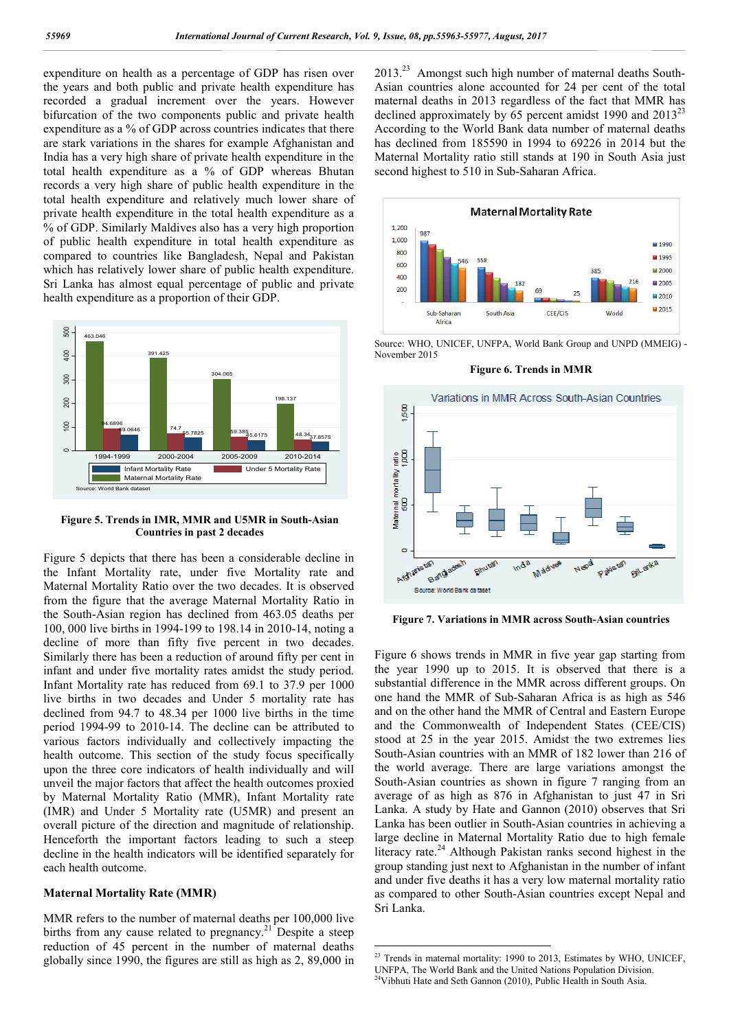expenditure on health as a percentage of GDP has risen over the years and both public and private health expenditure has recorded a gradual increment over the years. However bifurcation of the two components public and private health expenditure as a % of GDP across countries indicates that there are stark variations in the shares for example Afghanistan and India has a very high share of private health expenditure in the total health expenditure as a % of GDP whereas Bhutan records a very high share of public health expenditure in the total health expenditure and relatively much lower share of private health expenditure in the total health expenditure as a % of GDP. Similarly Maldives also has a very high proportion of public health expenditure in total health expenditure as compared to countries like Bangladesh, Nepal and Pakistan which has relatively lower share of public health expenditure. Sri Lanka has almost equal percentage of public and private health expenditure as a proportion of their GDP.





Figure 5 depicts that there has been a considerable decline in the Infant Mortality rate, under five Mortality rate and Maternal Mortality Ratio over the two decades. It is observed from the figure that the average Maternal Mortality Ratio in the South-Asian region has declined from 463.05 deaths per 100, 000 live births in 1994-199 to 198.14 in 2010-14, noting a decline of more than fifty five percent in two decades. Similarly there has been a reduction of around fifty per cent in infant and under five mortality rates amidst the study period. Infant Mortality rate has reduced from 69.1 to 37.9 per 1000 live births in two decades and Under 5 mortality rate has declined from 94.7 to 48.34 per 1000 live births in the time period 1994-99 to 2010-14. The decline can be attributed to various factors individually and collectively impacting the health outcome. This section of the study focus specifically upon the three core indicators of health individually and will unveil the major factors that affect the health outcomes proxied by Maternal Mortality Ratio (MMR), Infant Mortality rate (IMR) and Under 5 Mortality rate (U5MR) and present an overall picture of the direction and magnitude of relationship. Henceforth the important factors leading to such a steep decline in the health indicators will be identified separately for each health outcome.

### **Maternal Mortality Rate (MMR)**

MMR refers to the number of maternal deaths per 100,000 live births from any cause related to pregnancy.<sup>21</sup> Despite a steep reduction of 45 percent in the number of maternal deaths globally since 1990, the figures are still as high as 2, 89,000 in 2013.23 Amongst such high number of maternal deaths South-Asian countries alone accounted for 24 per cent of the total maternal deaths in 2013 regardless of the fact that MMR has declined approximately by 65 percent amidst 1990 and 2013<sup>23</sup> According to the World Bank data number of maternal deaths has declined from 185590 in 1994 to 69226 in 2014 but the Maternal Mortality ratio still stands at 190 in South Asia just second highest to 510 in Sub-Saharan Africa.



Source: WHO, UNICEF, UNFPA, World Bank Group and UNPD (MMEIG) - November 2015

**Figure 6. Trends in MMR**



**Figure 7. Variations in MMR across South-Asian countries**

Figure 6 shows trends in MMR in five year gap starting from the year 1990 up to 2015. It is observed that there is a substantial difference in the MMR across different groups. On one hand the MMR of Sub-Saharan Africa is as high as 546 and on the other hand the MMR of Central and Eastern Europe and the Commonwealth of Independent States (CEE/CIS) stood at 25 in the year 2015. Amidst the two extremes lies South-Asian countries with an MMR of 182 lower than 216 of the world average. There are large variations amongst the South-Asian countries as shown in figure 7 ranging from an average of as high as 876 in Afghanistan to just 47 in Sri Lanka. A study by Hate and Gannon (2010) observes that Sri Lanka has been outlier in South-Asian countries in achieving a large decline in Maternal Mortality Ratio due to high female literacy rate.<sup>24</sup> Although Pakistan ranks second highest in the group standing just next to Afghanistan in the number of infant and under five deaths it has a very low maternal mortality ratio as compared to other South-Asian countries except Nepal and Sri Lanka.

<sup>&</sup>lt;sup>23</sup> Trends in maternal mortality: 1990 to 2013, Estimates by WHO, UNICEF, UNFPA, The World Bank and the United Nations Population Division. 24Vibhuti Hate and Seth Gannon (2010), Public Health in South Asia.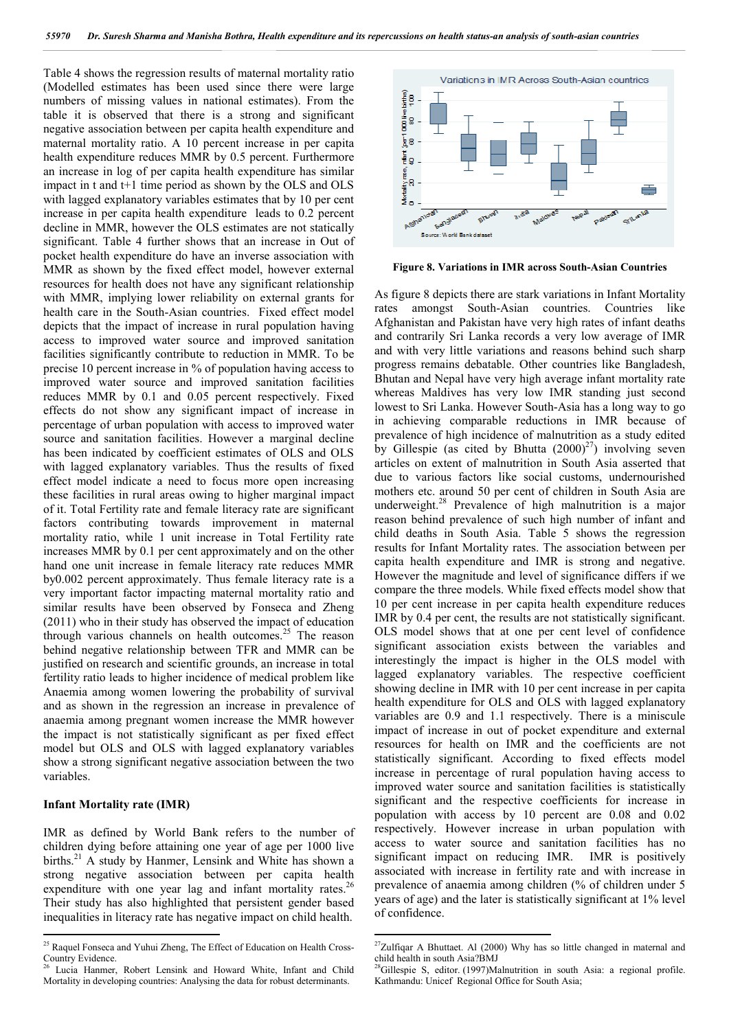Table 4 shows the regression results of maternal mortality ratio (Modelled estimates has been used since there were large numbers of missing values in national estimates). From the table it is observed that there is a strong and significant negative association between per capita health expenditure and maternal mortality ratio. A 10 percent increase in per capita health expenditure reduces MMR by 0.5 percent. Furthermore an increase in log of per capita health expenditure has similar impact in t and t+1 time period as shown by the OLS and OLS with lagged explanatory variables estimates that by 10 per cent increase in per capita health expenditure leads to 0.2 percent decline in MMR, however the OLS estimates are not statically significant. Table 4 further shows that an increase in Out of pocket health expenditure do have an inverse association with MMR as shown by the fixed effect model, however external resources for health does not have any significant relationship with MMR, implying lower reliability on external grants for health care in the South-Asian countries. Fixed effect model depicts that the impact of increase in rural population having access to improved water source and improved sanitation facilities significantly contribute to reduction in MMR. To be precise 10 percent increase in % of population having access to improved water source and improved sanitation facilities reduces MMR by 0.1 and 0.05 percent respectively. Fixed effects do not show any significant impact of increase in percentage of urban population with access to improved water source and sanitation facilities. However a marginal decline has been indicated by coefficient estimates of OLS and OLS with lagged explanatory variables. Thus the results of fixed effect model indicate a need to focus more open increasing these facilities in rural areas owing to higher marginal impact of it. Total Fertility rate and female literacy rate are significant factors contributing towards improvement in maternal mortality ratio, while 1 unit increase in Total Fertility rate increases MMR by 0.1 per cent approximately and on the other hand one unit increase in female literacy rate reduces MMR by0.002 percent approximately. Thus female literacy rate is a very important factor impacting maternal mortality ratio and similar results have been observed by Fonseca and Zheng (2011) who in their study has observed the impact of education through various channels on health outcomes.<sup>25</sup> The reason behind negative relationship between TFR and MMR can be justified on research and scientific grounds, an increase in total fertility ratio leads to higher incidence of medical problem like Anaemia among women lowering the probability of survival and as shown in the regression an increase in prevalence of anaemia among pregnant women increase the MMR however the impact is not statistically significant as per fixed effect model but OLS and OLS with lagged explanatory variables show a strong significant negative association between the two variables.

#### **Infant Mortality rate (IMR)**

IMR as defined by World Bank refers to the number of children dying before attaining one year of age per 1000 live births.<sup>21</sup> A study by Hanmer, Lensink and White has shown a strong negative association between per capita health expenditure with one year lag and infant mortality rates.<sup>26</sup> Their study has also highlighted that persistent gender based inequalities in literacy rate has negative impact on child health.



**Figure 8. Variations in IMR across South-Asian Countries**

As figure 8 depicts there are stark variations in Infant Mortality rates amongst South-Asian countries. Countries like Afghanistan and Pakistan have very high rates of infant deaths and contrarily Sri Lanka records a very low average of IMR and with very little variations and reasons behind such sharp progress remains debatable. Other countries like Bangladesh, Bhutan and Nepal have very high average infant mortality rate whereas Maldives has very low IMR standing just second lowest to Sri Lanka. However South-Asia has a long way to go in achieving comparable reductions in IMR because of prevalence of high incidence of malnutrition as a study edited by Gillespie (as cited by Bhutta  $(2000)^{27}$ ) involving seven articles on extent of malnutrition in South Asia asserted that due to various factors like social customs, undernourished mothers etc. around 50 per cent of children in South Asia are underweight.<sup>28</sup> Prevalence of high malnutrition is a major reason behind prevalence of such high number of infant and child deaths in South Asia. Table 5 shows the regression results for Infant Mortality rates. The association between per capita health expenditure and IMR is strong and negative. However the magnitude and level of significance differs if we compare the three models. While fixed effects model show that 10 per cent increase in per capita health expenditure reduces IMR by 0.4 per cent, the results are not statistically significant. OLS model shows that at one per cent level of confidence significant association exists between the variables and interestingly the impact is higher in the OLS model with lagged explanatory variables. The respective coefficient showing decline in IMR with 10 per cent increase in per capita health expenditure for OLS and OLS with lagged explanatory variables are 0.9 and 1.1 respectively. There is a miniscule impact of increase in out of pocket expenditure and external resources for health on IMR and the coefficients are not statistically significant. According to fixed effects model increase in percentage of rural population having access to improved water source and sanitation facilities is statistically significant and the respective coefficients for increase in population with access by 10 percent are 0.08 and 0.02 respectively. However increase in urban population with access to water source and sanitation facilities has no significant impact on reducing IMR. IMR is positively associated with increase in fertility rate and with increase in prevalence of anaemia among children (% of children under 5 years of age) and the later is statistically significant at 1% level of confidence.

<sup>&</sup>lt;sup>25</sup> Raquel Fonseca and Yuhui Zheng, The Effect of Education on Health Cross-Country Evidence.

Lucia Hanmer, Robert Lensink and Howard White, Infant and Child Mortality in developing countries: Analysing the data for robust determinants.

 $27$ Zulfiqar A Bhuttaet. Al (2000) Why has so little changed in maternal and child health in south Asia?BMJ

<sup>&</sup>lt;sup>28</sup>Gillespie S, editor. (1997)Malnutrition in south Asia: a regional profile. Kathmandu: Unicef Regional Office for South Asia;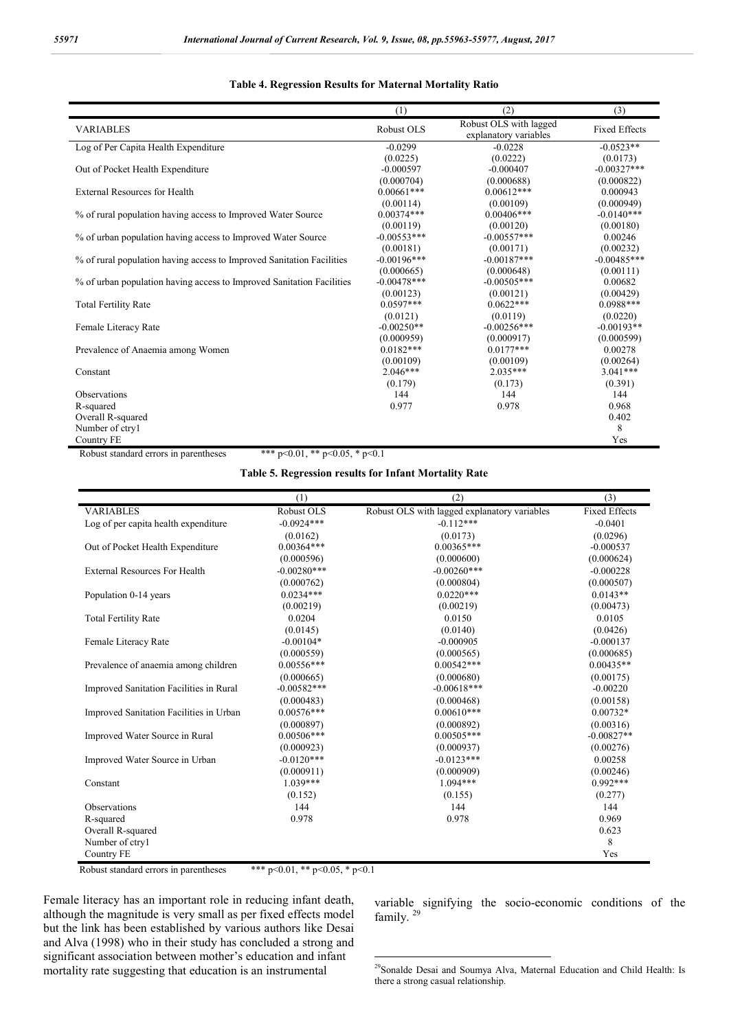#### **Table 4. Regression Results for Maternal Mortality Ratio**

|                                                                       | (1)            | (2)                                             | (3)                  |
|-----------------------------------------------------------------------|----------------|-------------------------------------------------|----------------------|
| <b>VARIABLES</b>                                                      | Robust OLS     | Robust OLS with lagged<br>explanatory variables | <b>Fixed Effects</b> |
| Log of Per Capita Health Expenditure                                  | $-0.0299$      | $-0.0228$                                       | $-0.0523**$          |
|                                                                       | (0.0225)       | (0.0222)                                        | (0.0173)             |
| Out of Pocket Health Expenditure                                      | $-0.000597$    | $-0.000407$                                     | $-0.00327***$        |
|                                                                       | (0.000704)     | (0.000688)                                      | (0.000822)           |
| <b>External Resources for Health</b>                                  | $0.00661***$   | $0.00612***$                                    | 0.000943             |
|                                                                       | (0.00114)      | (0.00109)                                       | (0.000949)           |
| % of rural population having access to Improved Water Source          | $0.00374***$   | $0.00406***$                                    | $-0.0140***$         |
|                                                                       | (0.00119)      | (0.00120)                                       | (0.00180)            |
| % of urban population having access to Improved Water Source          | $-0.00553***$  | $-0.00557***$                                   | 0.00246              |
|                                                                       | (0.00181)      | (0.00171)                                       | (0.00232)            |
| % of rural population having access to Improved Sanitation Facilities | $-0.00196$ *** | $-0.00187***$                                   | $-0.00485***$        |
|                                                                       | (0.000665)     | (0.000648)                                      | (0.00111)            |
| % of urban population having access to Improved Sanitation Facilities | $-0.00478$ *** | $-0.00505***$                                   | 0.00682              |
|                                                                       | (0.00123)      | (0.00121)                                       | (0.00429)            |
| <b>Total Fertility Rate</b>                                           | $0.0597***$    | $0.0622***$                                     | $0.0988***$          |
|                                                                       | (0.0121)       | (0.0119)                                        | (0.0220)             |
| Female Literacy Rate                                                  | $-0.00250**$   | $-0.00256***$                                   | $-0.00193**$         |
|                                                                       | (0.000959)     | (0.000917)                                      | (0.000599)           |
| Prevalence of Anaemia among Women                                     | $0.0182***$    | $0.0177***$                                     | 0.00278              |
|                                                                       | (0.00109)      | (0.00109)                                       | (0.00264)            |
| Constant                                                              | $2.046***$     | $2.035***$                                      | $3.041***$           |
|                                                                       | (0.179)        | (0.173)                                         | (0.391)              |
| <b>Observations</b>                                                   | 144            | 144                                             | 144                  |
| R-squared                                                             | 0.977          | 0.978                                           | 0.968                |
| Overall R-squared                                                     |                |                                                 | 0.402                |
| Number of ctryl                                                       |                |                                                 | 8                    |
| <b>Country FE</b>                                                     |                |                                                 | Yes                  |

Robust standard errors in parentheses \*\*\*  $p<0.01$ , \*\*  $p<0.05$ , \*  $p<0.1$ 

### **Table 5. Regression results for Infant Mortality Rate**

|                                         | (1)           | (2)                                          | (3)                  |
|-----------------------------------------|---------------|----------------------------------------------|----------------------|
| <b>VARIABLES</b>                        | Robust OLS    | Robust OLS with lagged explanatory variables | <b>Fixed Effects</b> |
| Log of per capita health expenditure    | $-0.0924***$  | $-0.112***$                                  | $-0.0401$            |
|                                         | (0.0162)      | (0.0173)                                     | (0.0296)             |
| Out of Pocket Health Expenditure        | $0.00364***$  | $0.00365***$                                 | $-0.000537$          |
|                                         | (0.000596)    | (0.000600)                                   | (0.000624)           |
| <b>External Resources For Health</b>    | $-0.00280***$ | $-0.00260***$                                | $-0.000228$          |
|                                         | (0.000762)    | (0.000804)                                   | (0.000507)           |
| Population 0-14 years                   | $0.0234***$   | $0.0220***$                                  | $0.0143**$           |
|                                         | (0.00219)     | (0.00219)                                    | (0.00473)            |
| <b>Total Fertility Rate</b>             | 0.0204        | 0.0150                                       | 0.0105               |
|                                         | (0.0145)      | (0.0140)                                     | (0.0426)             |
| Female Literacy Rate                    | $-0.00104*$   | $-0.000905$                                  | $-0.000137$          |
|                                         | (0.000559)    | (0.000565)                                   | (0.000685)           |
| Prevalence of anaemia among children    | $0.00556***$  | $0.00542***$                                 | $0.00435**$          |
|                                         | (0.000665)    | (0.000680)                                   | (0.00175)            |
| Improved Sanitation Facilities in Rural | $-0.00582***$ | $-0.00618***$                                | $-0.00220$           |
|                                         | (0.000483)    | (0.000468)                                   | (0.00158)            |
| Improved Sanitation Facilities in Urban | $0.00576***$  | $0.00610***$                                 | $0.00732*$           |
|                                         | (0.000897)    | (0.000892)                                   | (0.00316)            |
| Improved Water Source in Rural          | $0.00506***$  | $0.00505***$                                 | $-0.00827**$         |
|                                         | (0.000923)    | (0.000937)                                   | (0.00276)            |
| Improved Water Source in Urban          | $-0.0120***$  | $-0.0123***$                                 | 0.00258              |
|                                         | (0.000911)    | (0.000909)                                   | (0.00246)            |
| Constant                                | $1.039***$    | $1.094***$                                   | $0.992***$           |
|                                         | (0.152)       | (0.155)                                      | (0.277)              |
| <b>Observations</b>                     | 144           | 144                                          | 144                  |
| R-squared                               | 0.978         | 0.978                                        | 0.969                |
| Overall R-squared                       |               |                                              | 0.623                |
| Number of ctryl                         |               |                                              | 8                    |
| Country FE                              |               |                                              | Yes                  |

Robust standard errors in parentheses \*\*\* p<0.01, \*\* p<0.05, \* p<0.1

Female literacy has an important role in reducing infant death, although the magnitude is very small as per fixed effects model but the link has been established by various authors like Desai and Alva (1998) who in their study has concluded a strong and significant association between mother's education and infant mortality rate suggesting that education is an instrumental

variable signifying the socio-economic conditions of the family.<sup>29</sup>

<sup>&</sup>lt;sup>29</sup>Sonalde Desai and Soumya Alva, Maternal Education and Child Health: Is there a strong casual relationship.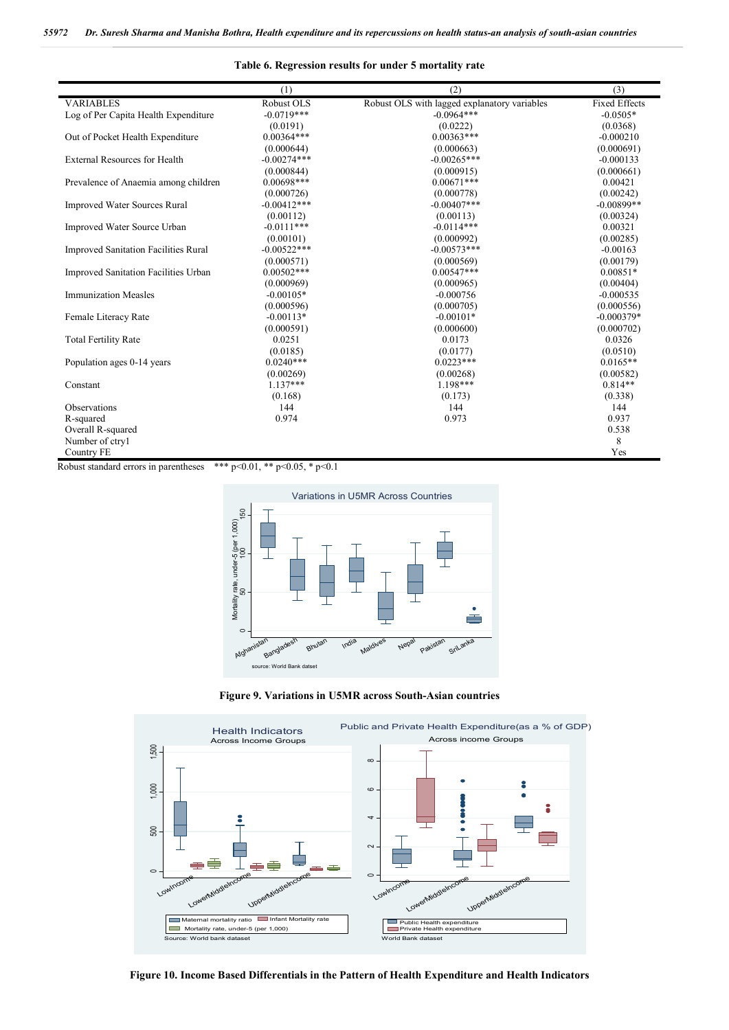#### **Table 6. Regression results for under 5 mortality rate**

|                                             | (1)                                                       | (2)                                          | (3)                  |
|---------------------------------------------|-----------------------------------------------------------|----------------------------------------------|----------------------|
| <b>VARIABLES</b>                            | Robust OLS                                                | Robust OLS with lagged explanatory variables | <b>Fixed Effects</b> |
| Log of Per Capita Health Expenditure        | $-0.0719***$                                              | $-0.0964***$                                 | $-0.0505*$           |
|                                             | (0.0191)                                                  | (0.0222)                                     | (0.0368)             |
| Out of Pocket Health Expenditure            | $0.00364***$                                              | $0.00363***$                                 | $-0.000210$          |
|                                             | (0.000644)                                                | (0.000663)                                   | (0.000691)           |
| <b>External Resources for Health</b>        | $-0.00274***$                                             | $-0.00265***$                                | $-0.000133$          |
|                                             | (0.000844)                                                | (0.000915)                                   | (0.000661)           |
| Prevalence of Anaemia among children        | $0.00698***$                                              | $0.00671***$                                 | 0.00421              |
|                                             | (0.000726)                                                | (0.000778)                                   | (0.00242)            |
| <b>Improved Water Sources Rural</b>         | $-0.00412***$                                             | $-0.00407$ ***                               | $-0.00899**$         |
|                                             | (0.00112)                                                 | (0.00113)                                    | (0.00324)            |
| Improved Water Source Urban                 | $-0.0111***$                                              | $-0.0114***$                                 | 0.00321              |
|                                             | (0.00101)                                                 | (0.000992)                                   | (0.00285)            |
| <b>Improved Sanitation Facilities Rural</b> | $-0.00522***$                                             | $-0.00573***$                                | $-0.00163$           |
|                                             | (0.000571)                                                | (0.000569)                                   | (0.00179)            |
| Improved Sanitation Facilities Urban        | $0.00502***$                                              | $0.00547***$                                 | $0.00851*$           |
|                                             | (0.000969)                                                | (0.000965)                                   | (0.00404)            |
| <b>Immunization Measles</b>                 | $-0.00105*$                                               | $-0.000756$                                  | $-0.000535$          |
|                                             | (0.000596)                                                | (0.000705)                                   | (0.000556)           |
| Female Literacy Rate                        | $-0.00113*$                                               | $-0.00101*$                                  | $-0.000379*$         |
|                                             | (0.000591)                                                | (0.000600)                                   | (0.000702)           |
| <b>Total Fertility Rate</b>                 | 0.0251                                                    | 0.0173                                       | 0.0326               |
|                                             | (0.0185)                                                  | (0.0177)                                     | (0.0510)             |
| Population ages 0-14 years                  | $0.0240***$                                               | $0.0223***$                                  | $0.0165**$           |
|                                             | (0.00269)                                                 | (0.00268)                                    | (0.00582)            |
| Constant                                    | $1.137***$                                                | $1.198***$                                   | $0.814**$            |
|                                             | (0.168)                                                   | (0.173)                                      | (0.338)              |
| <b>Observations</b>                         | 144                                                       | 144                                          | 144                  |
| R-squared                                   | 0.974                                                     | 0.973                                        | 0.937                |
| Overall R-squared                           |                                                           |                                              | 0.538                |
| Number of ctryl                             |                                                           |                                              | 8                    |
| Country FE                                  |                                                           |                                              | Yes                  |
| أماله ماله ماله                             | 0.05 <sub>0</sub><br>$0.01$ $0.4$<br>$\sim$ $\sim$ $\sim$ |                                              |                      |

Robust standard errors in parentheses \*\*\*  $p<0.01$ , \*\*  $p<0.05$ , \*  $p<0.1$ 



**Figure 9. Variations in U5MR across South-Asian countries**



**Figure 10. Income Based Differentials in the Pattern of Health Expenditure and Health Indicators**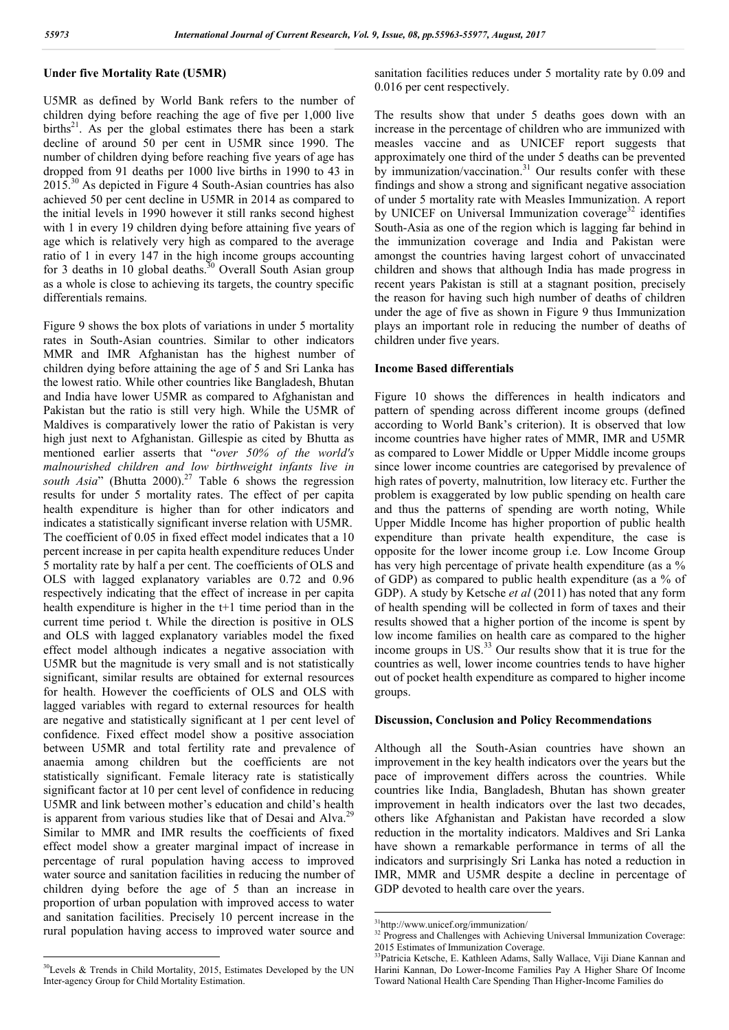# **Under five Mortality Rate (U5MR)**

U5MR as defined by World Bank refers to the number of children dying before reaching the age of five per 1,000 live  $births<sup>21</sup>$ . As per the global estimates there has been a stark decline of around 50 per cent in U5MR since 1990. The number of children dying before reaching five years of age has dropped from 91 deaths per 1000 live births in 1990 to 43 in  $2015^{30}$  As depicted in Figure 4 South-Asian countries has also achieved 50 per cent decline in U5MR in 2014 as compared to the initial levels in 1990 however it still ranks second highest with 1 in every 19 children dying before attaining five years of age which is relatively very high as compared to the average ratio of 1 in every 147 in the high income groups accounting for 3 deaths in 10 global deaths.<sup>30</sup> Overall South Asian group as a whole is close to achieving its targets, the country specific differentials remains.

Figure 9 shows the box plots of variations in under 5 mortality rates in South-Asian countries. Similar to other indicators MMR and IMR Afghanistan has the highest number of children dying before attaining the age of 5 and Sri Lanka has the lowest ratio. While other countries like Bangladesh, Bhutan and India have lower U5MR as compared to Afghanistan and Pakistan but the ratio is still very high. While the U5MR of Maldives is comparatively lower the ratio of Pakistan is very high just next to Afghanistan. Gillespie as cited by Bhutta as mentioned earlier asserts that "*over 50% of the world's malnourished children and low birthweight infants live in south Asia*" (Bhutta 2000).<sup>27</sup> Table 6 shows the regression results for under 5 mortality rates. The effect of per capita health expenditure is higher than for other indicators and indicates a statistically significant inverse relation with U5MR. The coefficient of 0.05 in fixed effect model indicates that a 10 percent increase in per capita health expenditure reduces Under 5 mortality rate by half a per cent. The coefficients of OLS and OLS with lagged explanatory variables are 0.72 and 0.96 respectively indicating that the effect of increase in per capita health expenditure is higher in the t+1 time period than in the current time period t. While the direction is positive in OLS and OLS with lagged explanatory variables model the fixed effect model although indicates a negative association with U5MR but the magnitude is very small and is not statistically significant, similar results are obtained for external resources for health. However the coefficients of OLS and OLS with lagged variables with regard to external resources for health are negative and statistically significant at 1 per cent level of confidence. Fixed effect model show a positive association between U5MR and total fertility rate and prevalence of anaemia among children but the coefficients are not statistically significant. Female literacy rate is statistically significant factor at 10 per cent level of confidence in reducing U5MR and link between mother's education and child's health is apparent from various studies like that of Desai and Alva.<sup>29</sup> Similar to MMR and IMR results the coefficients of fixed effect model show a greater marginal impact of increase in percentage of rural population having access to improved water source and sanitation facilities in reducing the number of children dying before the age of 5 than an increase in proportion of urban population with improved access to water and sanitation facilities. Precisely 10 percent increase in the rural population having access to improved water source and sanitation facilities reduces under 5 mortality rate by 0.09 and 0.016 per cent respectively.

The results show that under 5 deaths goes down with an increase in the percentage of children who are immunized with measles vaccine and as UNICEF report suggests that approximately one third of the under 5 deaths can be prevented by immunization/vaccination.<sup>31</sup> Our results confer with these findings and show a strong and significant negative association of under 5 mortality rate with Measles Immunization. A report by UNICEF on Universal Immunization coverage $32$  identifies South-Asia as one of the region which is lagging far behind in the immunization coverage and India and Pakistan were amongst the countries having largest cohort of unvaccinated children and shows that although India has made progress in recent years Pakistan is still at a stagnant position, precisely the reason for having such high number of deaths of children under the age of five as shown in Figure 9 thus Immunization plays an important role in reducing the number of deaths of children under five years.

## **Income Based differentials**

Figure 10 shows the differences in health indicators and pattern of spending across different income groups (defined according to World Bank's criterion). It is observed that low income countries have higher rates of MMR, IMR and U5MR as compared to Lower Middle or Upper Middle income groups since lower income countries are categorised by prevalence of high rates of poverty, malnutrition, low literacy etc. Further the problem is exaggerated by low public spending on health care and thus the patterns of spending are worth noting, While Upper Middle Income has higher proportion of public health expenditure than private health expenditure, the case is opposite for the lower income group i.e. Low Income Group has very high percentage of private health expenditure (as a  $\%$ of GDP) as compared to public health expenditure (as a % of GDP). A study by Ketsche *et al* (2011) has noted that any form of health spending will be collected in form of taxes and their results showed that a higher portion of the income is spent by low income families on health care as compared to the higher income groups in  $US^{33}$  Our results show that it is true for the countries as well, lower income countries tends to have higher out of pocket health expenditure as compared to higher income groups.

#### **Discussion, Conclusion and Policy Recommendations**

Although all the South-Asian countries have shown an improvement in the key health indicators over the years but the pace of improvement differs across the countries. While countries like India, Bangladesh, Bhutan has shown greater improvement in health indicators over the last two decades, others like Afghanistan and Pakistan have recorded a slow reduction in the mortality indicators. Maldives and Sri Lanka have shown a remarkable performance in terms of all the indicators and surprisingly Sri Lanka has noted a reduction in IMR, MMR and U5MR despite a decline in percentage of GDP devoted to health care over the years.

 <sup>30</sup>Levels & Trends in Child Mortality, 2015, Estimates Developed by the UN Inter-agency Group for Child Mortality Estimation.

 <sup>31</sup>http://www.unicef.org/immunization/

<sup>&</sup>lt;sup>32</sup> Progress and Challenges with Achieving Universal Immunization Coverage: 2015 Estimates of Immunization Coverage.

<sup>33</sup>Patricia Ketsche, E. Kathleen Adams, Sally Wallace, Viji Diane Kannan and Harini Kannan, Do Lower-Income Families Pay A Higher Share Of Income Toward National Health Care Spending Than Higher-Income Families do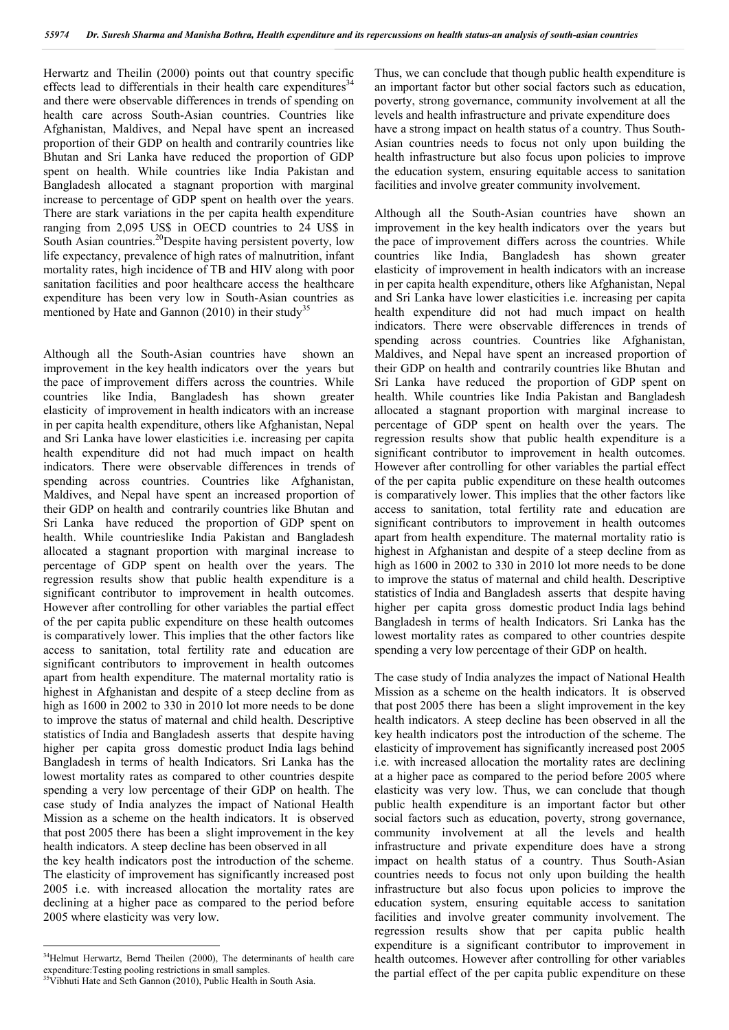Herwartz and Theilin (2000) points out that country specific effects lead to differentials in their health care expenditures<sup>34</sup> and there were observable differences in trends of spending on health care across South-Asian countries. Countries like Afghanistan, Maldives, and Nepal have spent an increased proportion of their GDP on health and contrarily countries like Bhutan and Sri Lanka have reduced the proportion of GDP spent on health. While countries like India Pakistan and Bangladesh allocated a stagnant proportion with marginal increase to percentage of GDP spent on health over the years. There are stark variations in the per capita health expenditure ranging from 2,095 US\$ in OECD countries to 24 US\$ in South Asian countries.<sup>20</sup>Despite having persistent poverty, low life expectancy, prevalence of high rates of malnutrition, infant mortality rates, high incidence of TB and HIV along with poor sanitation facilities and poor healthcare access the healthcare expenditure has been very low in South-Asian countries as mentioned by Hate and Gannon  $(2010)$  in their study<sup>35</sup>

Although all the South-Asian countries have shown an improvement in the key health indicators over the years but the pace of improvement differs across the countries. While countries like India, Bangladesh has shown greater elasticity of improvement in health indicators with an increase in per capita health expenditure, others like Afghanistan, Nepal and Sri Lanka have lower elasticities i.e. increasing per capita health expenditure did not had much impact on health indicators. There were observable differences in trends of spending across countries. Countries like Afghanistan, Maldives, and Nepal have spent an increased proportion of their GDP on health and contrarily countries like Bhutan and Sri Lanka have reduced the proportion of GDP spent on health. While countrieslike India Pakistan and Bangladesh allocated a stagnant proportion with marginal increase to percentage of GDP spent on health over the years. The regression results show that public health expenditure is a significant contributor to improvement in health outcomes. However after controlling for other variables the partial effect of the per capita public expenditure on these health outcomes is comparatively lower. This implies that the other factors like access to sanitation, total fertility rate and education are significant contributors to improvement in health outcomes apart from health expenditure. The maternal mortality ratio is highest in Afghanistan and despite of a steep decline from as high as  $1600$  in 2002 to 330 in 2010 lot more needs to be done to improve the status of maternal and child health. Descriptive statistics of India and Bangladesh asserts that despite having higher per capita gross domestic product India lags behind Bangladesh in terms of health Indicators. Sri Lanka has the lowest mortality rates as compared to other countries despite spending a very low percentage of their GDP on health. The case study of India analyzes the impact of National Health Mission as a scheme on the health indicators. It is observed that post 2005 there has been a slight improvement in the key health indicators. A steep decline has been observed in all the key health indicators post the introduction of the scheme. The elasticity of improvement has significantly increased post 2005 i.e. with increased allocation the mortality rates are declining at a higher pace as compared to the period before 2005 where elasticity was very low.

Thus, we can conclude that though public health expenditure is an important factor but other social factors such as education, poverty, strong governance, community involvement at all the levels and health infrastructure and private expenditure does have a strong impact on health status of a country. Thus South-Asian countries needs to focus not only upon building the health infrastructure but also focus upon policies to improve the education system, ensuring equitable access to sanitation facilities and involve greater community involvement.

Although all the South-Asian countries have shown an improvement in the key health indicators over the years but the pace of improvement differs across the countries. While countries like India, Bangladesh has shown greater elasticity of improvement in health indicators with an increase in per capita health expenditure, others like Afghanistan, Nepal and Sri Lanka have lower elasticities i.e. increasing per capita health expenditure did not had much impact on health indicators. There were observable differences in trends of spending across countries. Countries like Afghanistan, Maldives, and Nepal have spent an increased proportion of their GDP on health and contrarily countries like Bhutan and Sri Lanka have reduced the proportion of GDP spent on health. While countries like India Pakistan and Bangladesh allocated a stagnant proportion with marginal increase to percentage of GDP spent on health over the years. The regression results show that public health expenditure is a significant contributor to improvement in health outcomes. However after controlling for other variables the partial effect of the per capita public expenditure on these health outcomes is comparatively lower. This implies that the other factors like access to sanitation, total fertility rate and education are significant contributors to improvement in health outcomes apart from health expenditure. The maternal mortality ratio is highest in Afghanistan and despite of a steep decline from as high as 1600 in 2002 to 330 in 2010 lot more needs to be done to improve the status of maternal and child health. Descriptive statistics of India and Bangladesh asserts that despite having higher per capita gross domestic product India lags behind Bangladesh in terms of health Indicators. Sri Lanka has the lowest mortality rates as compared to other countries despite spending a very low percentage of their GDP on health.

The case study of India analyzes the impact of National Health Mission as a scheme on the health indicators. It is observed that post 2005 there has been a slight improvement in the key health indicators. A steep decline has been observed in all the key health indicators post the introduction of the scheme. The elasticity of improvement has significantly increased post 2005 i.e. with increased allocation the mortality rates are declining at a higher pace as compared to the period before 2005 where elasticity was very low. Thus, we can conclude that though public health expenditure is an important factor but other social factors such as education, poverty, strong governance, community involvement at all the levels and health infrastructure and private expenditure does have a strong impact on health status of a country. Thus South-Asian countries needs to focus not only upon building the health infrastructure but also focus upon policies to improve the education system, ensuring equitable access to sanitation facilities and involve greater community involvement. The regression results show that per capita public health expenditure is a significant contributor to improvement in health outcomes. However after controlling for other variables the partial effect of the per capita public expenditure on these

<sup>&</sup>lt;sup>34</sup>Helmut Herwartz, Bernd Theilen (2000), The determinants of health care expenditure:Testing pooling restrictions in small samples. 35Vibhuti Hate and Seth Gannon (2010), Public Health in South Asia.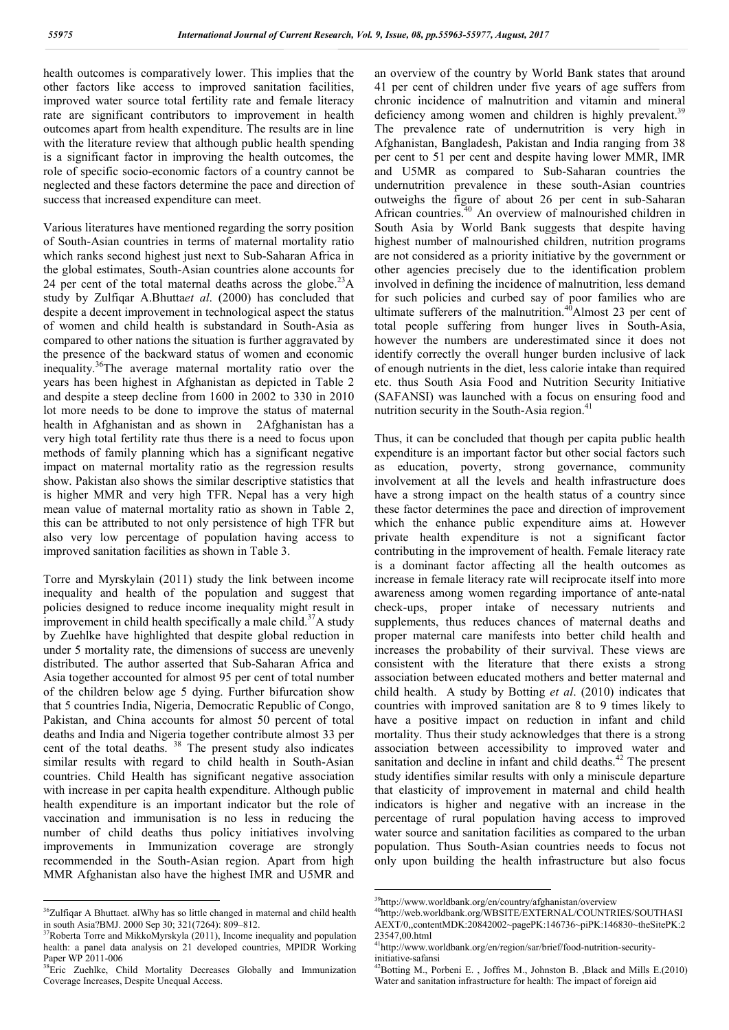health outcomes is comparatively lower. This implies that the other factors like access to improved sanitation facilities, improved water source total fertility rate and female literacy rate are significant contributors to improvement in health outcomes apart from health expenditure. The results are in line with the literature review that although public health spending is a significant factor in improving the health outcomes, the role of specific socio-economic factors of a country cannot be neglected and these factors determine the pace and direction of success that increased expenditure can meet.

Various literatures have mentioned regarding the sorry position of South-Asian countries in terms of maternal mortality ratio which ranks second highest just next to Sub-Saharan Africa in the global estimates, South-Asian countries alone accounts for 24 per cent of the total maternal deaths across the globe.<sup>23</sup>A study by Zulfiqar A.Bhutta*et al*. (2000) has concluded that despite a decent improvement in technological aspect the status of women and child health is substandard in South-Asia as compared to other nations the situation is further aggravated by the presence of the backward status of women and economic inequality.36The average maternal mortality ratio over the years has been highest in Afghanistan as depicted in Table 2 and despite a steep decline from 1600 in 2002 to 330 in 2010 lot more needs to be done to improve the status of maternal health in Afghanistan and as shown in 2Afghanistan has a very high total fertility rate thus there is a need to focus upon methods of family planning which has a significant negative impact on maternal mortality ratio as the regression results show. Pakistan also shows the similar descriptive statistics that is higher MMR and very high TFR. Nepal has a very high mean value of maternal mortality ratio as shown in Table 2, this can be attributed to not only persistence of high TFR but also very low percentage of population having access to improved sanitation facilities as shown in Table 3.

Torre and Myrskylain (2011) study the link between income inequality and health of the population and suggest that policies designed to reduce income inequality might result in improvement in child health specifically a male child.<sup>37</sup>A study by Zuehlke have highlighted that despite global reduction in under 5 mortality rate, the dimensions of success are unevenly distributed. The author asserted that Sub-Saharan Africa and Asia together accounted for almost 95 per cent of total number of the children below age 5 dying. Further bifurcation show that 5 countries India, Nigeria, Democratic Republic of Congo, Pakistan, and China accounts for almost 50 percent of total deaths and India and Nigeria together contribute almost 33 per cent of the total deaths.<sup>38</sup> The present study also indicates similar results with regard to child health in South-Asian countries. Child Health has significant negative association with increase in per capita health expenditure. Although public health expenditure is an important indicator but the role of vaccination and immunisation is no less in reducing the number of child deaths thus policy initiatives involving improvements in Immunization coverage are strongly recommended in the South-Asian region. Apart from high MMR Afghanistan also have the highest IMR and U5MR and an overview of the country by World Bank states that around 41 per cent of children under five years of age suffers from chronic incidence of malnutrition and vitamin and mineral deficiency among women and children is highly prevalent.<sup>39</sup> The prevalence rate of undernutrition is very high in Afghanistan, Bangladesh, Pakistan and India ranging from 38 per cent to 51 per cent and despite having lower MMR, IMR and U5MR as compared to Sub-Saharan countries the undernutrition prevalence in these south-Asian countries outweighs the figure of about 26 per cent in sub-Saharan African countries.<sup>40</sup> An overview of malnourished children in South Asia by World Bank suggests that despite having highest number of malnourished children, nutrition programs are not considered as a priority initiative by the government or other agencies precisely due to the identification problem involved in defining the incidence of malnutrition, less demand for such policies and curbed say of poor families who are ultimate sufferers of the malnutrition. $40$ Almost 23 per cent of total people suffering from hunger lives in South-Asia, however the numbers are underestimated since it does not identify correctly the overall hunger burden inclusive of lack of enough nutrients in the diet, less calorie intake than required etc. thus South Asia Food and Nutrition Security Initiative (SAFANSI) was launched with a focus on ensuring food and nutrition security in the South-Asia region.<sup>41</sup>

Thus, it can be concluded that though per capita public health expenditure is an important factor but other social factors such as education, poverty, strong governance, community involvement at all the levels and health infrastructure does have a strong impact on the health status of a country since these factor determines the pace and direction of improvement which the enhance public expenditure aims at. However private health expenditure is not a significant factor contributing in the improvement of health. Female literacy rate is a dominant factor affecting all the health outcomes as increase in female literacy rate will reciprocate itself into more awareness among women regarding importance of ante-natal check-ups, proper intake of necessary nutrients and supplements, thus reduces chances of maternal deaths and proper maternal care manifests into better child health and increases the probability of their survival. These views are consistent with the literature that there exists a strong association between educated mothers and better maternal and child health. A study by Botting *et al*. (2010) indicates that countries with improved sanitation are 8 to 9 times likely to have a positive impact on reduction in infant and child mortality. Thus their study acknowledges that there is a strong association between accessibility to improved water and sanitation and decline in infant and child deaths.<sup>42</sup> The present study identifies similar results with only a miniscule departure that elasticity of improvement in maternal and child health indicators is higher and negative with an increase in the percentage of rural population having access to improved water source and sanitation facilities as compared to the urban population. Thus South-Asian countries needs to focus not only upon building the health infrastructure but also focus

<sup>&</sup>lt;sup>36</sup>Zulfiqar A Bhuttaet. alWhy has so little changed in maternal and child health in south Asia?BMJ. 2000 Sep 30; 321(7264): 809–812.

 $37R$ oberta Torre and MikkoMyrskyla (2011), Income inequality and population health: a panel data analysis on 21 developed countries, MPIDR Working Paper WP 2011-006

<sup>&</sup>lt;sup>38</sup>Eric Zuehlke, Child Mortality Decreases Globally and Immunization Coverage Increases, Despite Unequal Access.

 <sup>39</sup>http://www.worldbank.org/en/country/afghanistan/overview

<sup>40</sup>http://web.worldbank.org/WBSITE/EXTERNAL/COUNTRIES/SOUTHASI AEXT/0,,contentMDK:20842002~pagePK:146736~piPK:146830~theSitePK:2 23547,00.html

<sup>41</sup>http://www.worldbank.org/en/region/sar/brief/food-nutrition-securityinitiative-safansi

<sup>&</sup>lt;sup>12</sup>Botting M., Porbeni E., Joffres M., Johnston B., Black and Mills E.(2010) Water and sanitation infrastructure for health: The impact of foreign aid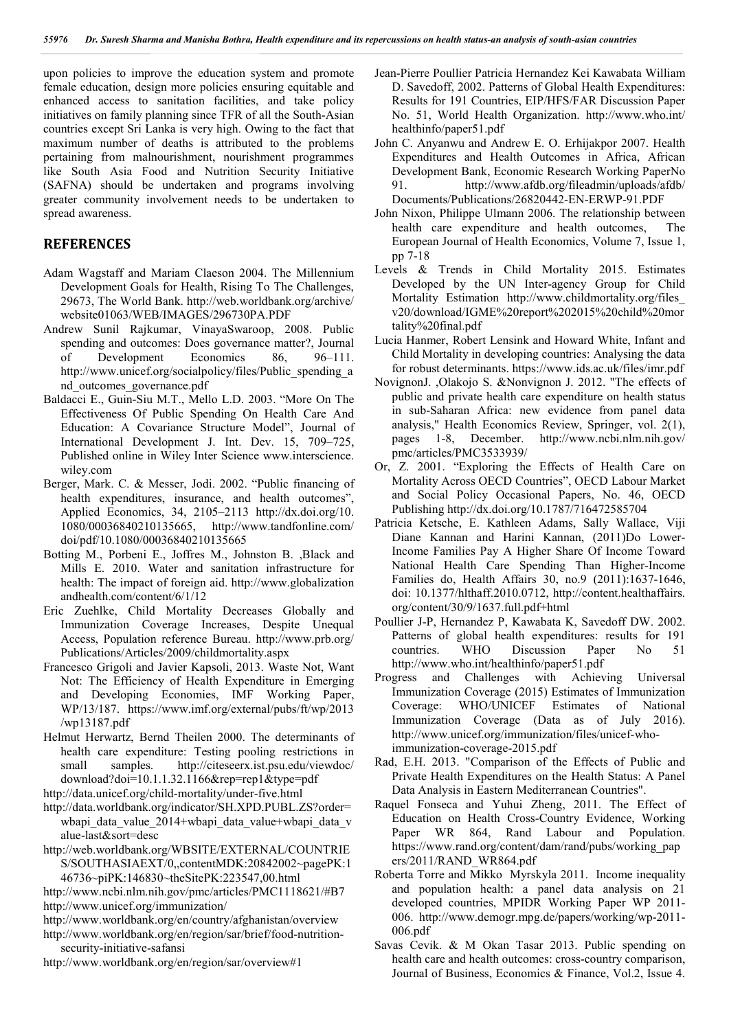upon policies to improve the education system and promote female education, design more policies ensuring equitable and enhanced access to sanitation facilities, and take policy initiatives on family planning since TFR of all the South-Asian countries except Sri Lanka is very high. Owing to the fact that maximum number of deaths is attributed to the problems pertaining from malnourishment, nourishment programmes like South Asia Food and Nutrition Security Initiative (SAFNA) should be undertaken and programs involving greater community involvement needs to be undertaken to spread awareness.

# **REFERENCES**

- Adam Wagstaff and Mariam Claeson 2004. The Millennium Development Goals for Health, Rising To The Challenges, 29673, The World Bank. http://web.worldbank.org/archive/ website01063/WEB/IMAGES/296730PA.PDF
- Andrew Sunil Rajkumar, VinayaSwaroop, 2008. Public spending and outcomes: Does governance matter?, Journal of Development Economics 86, 96–111. http://www.unicef.org/socialpolicy/files/Public\_spending\_a nd\_outcomes\_governance.pdf
- Baldacci E., Guin-Siu M.T., Mello L.D. 2003. "More On The Effectiveness Of Public Spending On Health Care And Education: A Covariance Structure Model", Journal of International Development J. Int. Dev. 15, 709–725, Published online in Wiley Inter Science www.interscience. wiley.com
- Berger, Mark. C. & Messer, Jodi. 2002. "Public financing of health expenditures, insurance, and health outcomes", Applied Economics, 34, 2105–2113 http://dx.doi.org/10. 1080/00036840210135665, http://www.tandfonline.com/ doi/pdf/10.1080/00036840210135665
- Botting M., Porbeni E., Joffres M., Johnston B. ,Black and Mills E. 2010. Water and sanitation infrastructure for health: The impact of foreign aid. http://www.globalization andhealth.com/content/6/1/12
- Eric Zuehlke, Child Mortality Decreases Globally and Immunization Coverage Increases. Despite Unequal Access, Population reference Bureau. http://www.prb.org/ Publications/Articles/2009/childmortality.aspx
- Francesco Grigoli and Javier Kapsoli, 2013. Waste Not, Want Not: The Efficiency of Health Expenditure in Emerging and Developing Economies, IMF Working Paper, WP/13/187. https://www.imf.org/external/pubs/ft/wp/2013 /wp13187.pdf
- Helmut Herwartz, Bernd Theilen 2000. The determinants of health care expenditure: Testing pooling restrictions in small samples. http://citeseerx.ist.psu.edu/viewdoc/ download?doi=10.1.1.32.1166&rep=rep1&type=pdf
- http://data.unicef.org/child-mortality/under-five.html
- http://data.worldbank.org/indicator/SH.XPD.PUBL.ZS?order= wbapi\_data\_value\_2014+wbapi\_data\_value+wbapi\_data\_v alue-last&sort=desc
- http://web.worldbank.org/WBSITE/EXTERNAL/COUNTRIE S/SOUTHASIAEXT/0,,contentMDK:20842002~pagePK:1 46736~piPK:146830~theSitePK:223547,00.html
- http://www.ncbi.nlm.nih.gov/pmc/articles/PMC1118621/#B7 http://www.unicef.org/immunization/
- http://www.worldbank.org/en/country/afghanistan/overview
- http://www.worldbank.org/en/region/sar/brief/food-nutritionsecurity-initiative-safansi
- http://www.worldbank.org/en/region/sar/overview#1
- Jean-Pierre Poullier Patricia Hernandez Kei Kawabata William D. Savedoff, 2002. Patterns of Global Health Expenditures: Results for 191 Countries, EIP/HFS/FAR Discussion Paper No. 51, World Health Organization. http://www.who.int/ healthinfo/paper51.pdf
- John C. Anyanwu and Andrew E. O. Erhijakpor 2007. Health Expenditures and Health Outcomes in Africa, African Development Bank, Economic Research Working PaperNo 91. http://www.afdb.org/fileadmin/uploads/afdb/ Documents/Publications/26820442-EN-ERWP-91.PDF
- John Nixon, Philippe Ulmann 2006. The relationship between health care expenditure and health outcomes, The European Journal of Health Economics, Volume 7, Issue 1, pp 7-18
- Levels & Trends in Child Mortality 2015. Estimates Developed by the UN Inter-agency Group for Child Mortality Estimation http://www.childmortality.org/files\_ v20/download/IGME%20report%202015%20child%20mor tality%20final.pdf
- Lucia Hanmer, Robert Lensink and Howard White, Infant and Child Mortality in developing countries: Analysing the data for robust determinants. https://www.ids.ac.uk/files/imr.pdf
- NovignonJ. ,Olakojo S. &Nonvignon J. 2012. "The effects of public and private health care expenditure on health status in sub-Saharan Africa: new evidence from panel data analysis," Health Economics Review, Springer, vol. 2(1), pages 1-8, December. http://www.ncbi.nlm.nih.gov/ pmc/articles/PMC3533939/
- Or, Z. 2001. "Exploring the Effects of Health Care on Mortality Across OECD Countries", OECD Labour Market and Social Policy Occasional Papers, No. 46, OECD Publishing http://dx.doi.org/10.1787/716472585704
- Patricia Ketsche, E. Kathleen Adams, Sally Wallace, Viji Diane Kannan and Harini Kannan, (2011)Do Lower-Income Families Pay A Higher Share Of Income Toward National Health Care Spending Than Higher-Income Families do, Health Affairs 30, no.9 (2011):1637-1646, doi: 10.1377/hlthaff.2010.0712, http://content.healthaffairs. org/content/30/9/1637.full.pdf+html
- Poullier J-P, Hernandez P, Kawabata K, Savedoff DW. 2002. Patterns of global health expenditures: results for 191 countries. WHO Discussion Paper No 51 http://www.who.int/healthinfo/paper51.pdf
- Progress and Challenges with Achieving Universal Immunization Coverage (2015) Estimates of Immunization Coverage: WHO/UNICEF Estimates of National Immunization Coverage (Data as of July 2016). http://www.unicef.org/immunization/files/unicef-whoimmunization-coverage-2015.pdf
- Rad, E.H. 2013. "Comparison of the Effects of Public and Private Health Expenditures on the Health Status: A Panel Data Analysis in Eastern Mediterranean Countries".
- Raquel Fonseca and Yuhui Zheng, 2011. The Effect of Education on Health Cross-Country Evidence, Working Paper WR 864, Rand Labour and Population. https://www.rand.org/content/dam/rand/pubs/working\_pap ers/2011/RAND\_WR864.pdf
- Roberta Torre and Mikko Myrskyla 2011. Income inequality and population health: a panel data analysis on 21 developed countries, MPIDR Working Paper WP 2011- 006. http://www.demogr.mpg.de/papers/working/wp-2011- 006.pdf
- Savas Cevik. & M Okan Tasar 2013. Public spending on health care and health outcomes: cross-country comparison, Journal of Business, Economics & Finance, Vol.2, Issue 4.